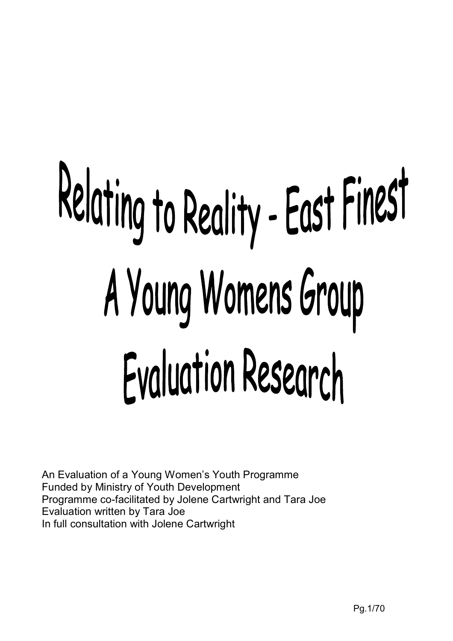# Relating to Reality - East Finest A Young Womens Group Evaluation Research

An Evaluation of a Young Women's Youth Programme Funded by Ministry of Youth Development Programme co-facilitated by Jolene Cartwright and Tara Joe Evaluation written by Tara Joe In full consultation with Jolene Cartwright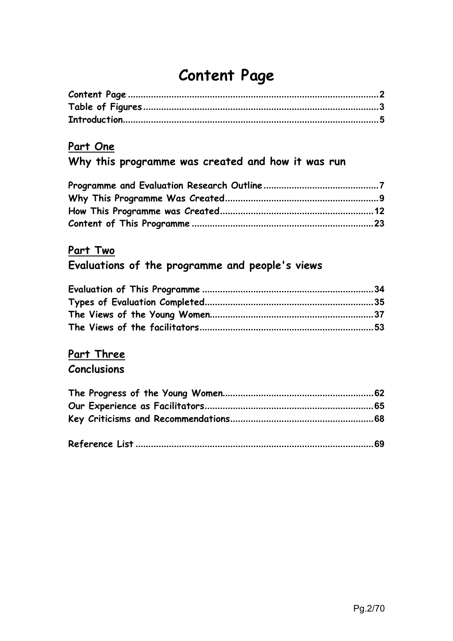# **Content Page**

# **Part One**

# **Why this programme was created and how it was run**

# **Part Two**

# **Evaluations of the programme and people's views**

# **Part Three Conclusions**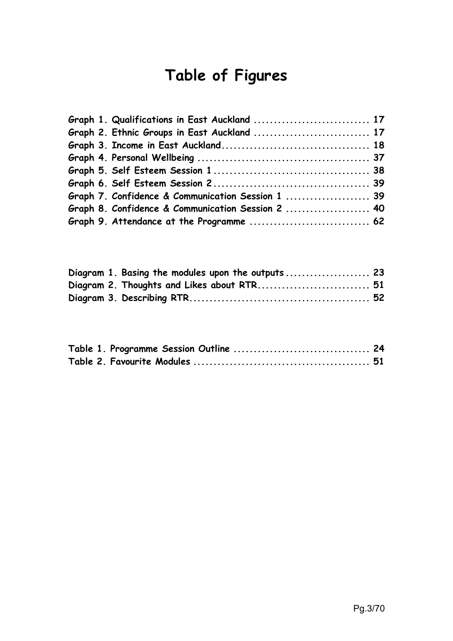# **Table of Figures**

| Graph 1. Qualifications in East Auckland  17      |  |
|---------------------------------------------------|--|
| Graph 2. Ethnic Groups in East Auckland  17       |  |
|                                                   |  |
|                                                   |  |
|                                                   |  |
|                                                   |  |
| Graph 7. Confidence & Communication Session 1  39 |  |
| Graph 8. Confidence & Communication Session 2  40 |  |
|                                                   |  |

|  | Diagram 1. Basing the modules upon the outputs  23 |  |
|--|----------------------------------------------------|--|
|  |                                                    |  |
|  |                                                    |  |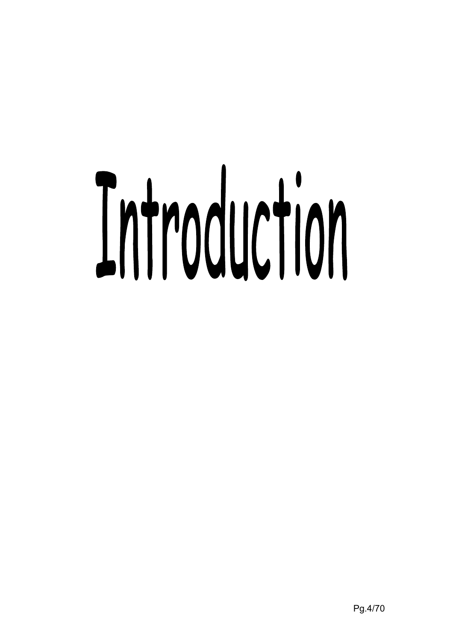# Introduction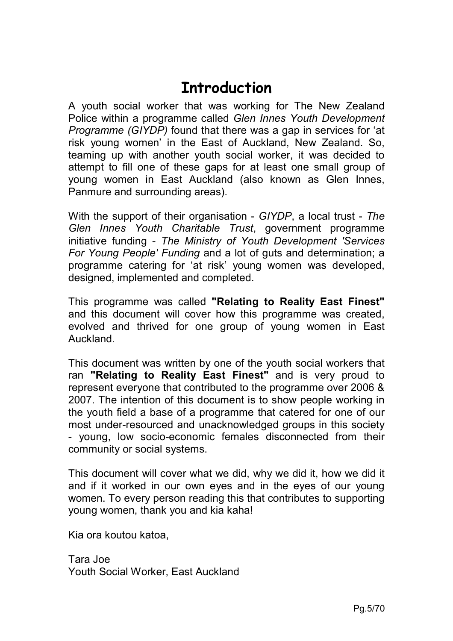# **Introduction**

A youth social worker that was working for The New Zealand Police within a programme called *Glen Innes Youth Development Programme (GIYDP)* found that there was a gap in services for 'at risk young women' in the East of Auckland, New Zealand. So, teaming up with another youth social worker, it was decided to attempt to fill one of these gaps for at least one small group of young women in East Auckland (also known as Glen Innes, Panmure and surrounding areas).

With the support of their organisation - *GIYDP*, a local trust - *The Glen Innes Youth Charitable Trust*, government programme initiative funding - *The Ministry of Youth Development 'Services For Young People' Funding* and a lot of guts and determination; a programme catering for 'at risk' young women was developed, designed, implemented and completed.

This programme was called **"Relating to Reality East Finest"**  and this document will cover how this programme was created, evolved and thrived for one group of young women in East Auckland.

This document was written by one of the youth social workers that ran **"Relating to Reality East Finest"** and is very proud to represent everyone that contributed to the programme over 2006 & 2007. The intention of this document is to show people working in the youth field a base of a programme that catered for one of our most under-resourced and unacknowledged groups in this society - young, low socio-economic females disconnected from their community or social systems.

This document will cover what we did, why we did it, how we did it and if it worked in our own eyes and in the eyes of our young women. To every person reading this that contributes to supporting young women, thank you and kia kaha!

Kia ora koutou katoa,

Tara Joe Youth Social Worker, East Auckland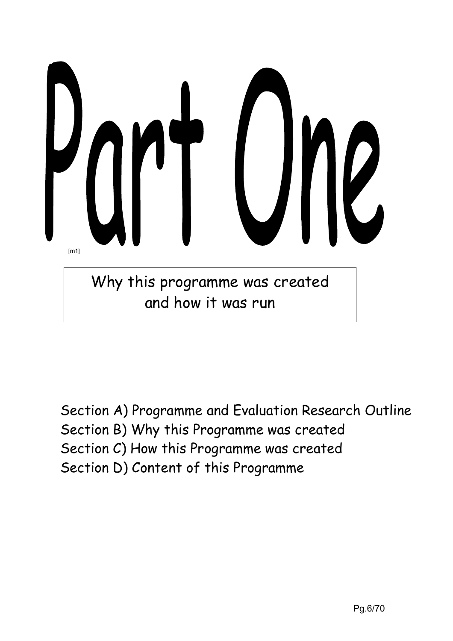

Section A) Programme and Evaluation Research Outline Section B) Why this Programme was created Section C) How this Programme was created Section D) Content of this Programme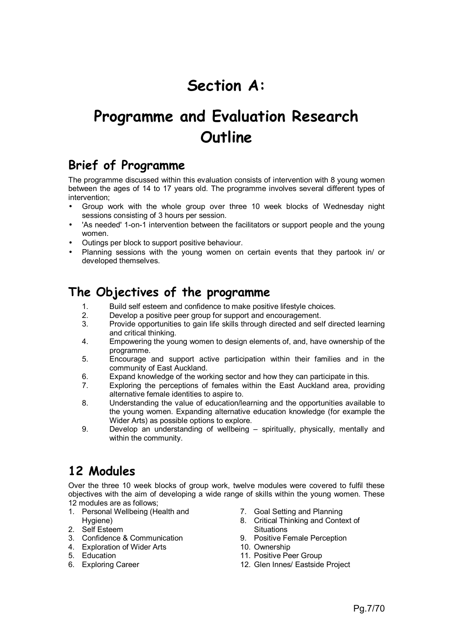# **Section A:**

# **Programme and Evaluation Research Outline**

# **Brief of Programme**

The programme discussed within this evaluation consists of intervention with 8 young women between the ages of 14 to 17 years old. The programme involves several different types of intervention;

- Group work with the whole group over three 10 week blocks of Wednesday night sessions consisting of 3 hours per session.
- 'As needed' 1-on-1 intervention between the facilitators or support people and the young women.
- Outings per block to support positive behaviour.
- Planning sessions with the young women on certain events that they partook in/ or developed themselves.

# **The Objectives of the programme**

- 1. Build self esteem and confidence to make positive lifestyle choices.<br>2. Develop a positive peer group for support and encouragement.
- 2. Develop a positive peer group for support and encouragement.
- 3. Provide opportunities to gain life skills through directed and self directed learning and critical thinking.
- 4. Empowering the young women to design elements of, and, have ownership of the programme.
- 5. Encourage and support active participation within their families and in the community of East Auckland.
- 6. Expand knowledge of the working sector and how they can participate in this.
- 7. Exploring the perceptions of females within the East Auckland area, providing alternative female identities to aspire to.
- 8. Understanding the value of education/learning and the opportunities available to the young women. Expanding alternative education knowledge (for example the Wider Arts) as possible options to explore.
- 9. Develop an understanding of wellbeing spiritually, physically, mentally and within the community.

# **12 Modules**

Over the three 10 week blocks of group work, twelve modules were covered to fulfil these objectives with the aim of developing a wide range of skills within the young women. These 12 modules are as follows;

- 1. Personal Wellbeing (Health and Hygiene)
- 2. Self Esteem
- 3. Confidence & Communication
- 4. Exploration of Wider Arts
- 5. Education
- 6. Exploring Career
- 7. Goal Setting and Planning
- 8. Critical Thinking and Context of **Situations**
- 9. Positive Female Perception
- 10. Ownership
- 11. Positive Peer Group
- 12. Glen Innes/ Eastside Project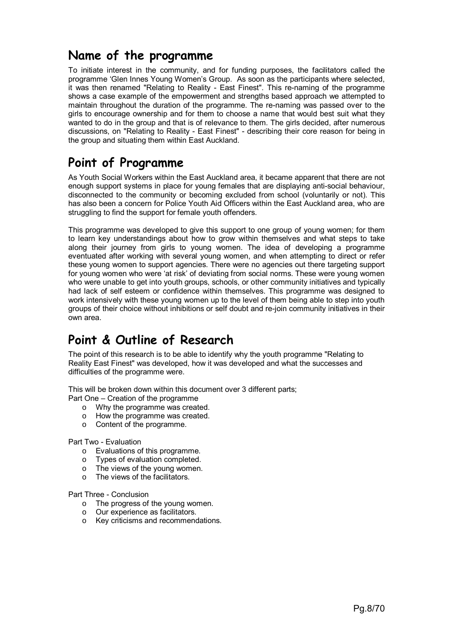# **Name of the programme**

To initiate interest in the community, and for funding purposes, the facilitators called the programme 'Glen Innes Young Women's Group. As soon as the participants where selected, it was then renamed "Relating to Reality - East Finest". This re-naming of the programme shows a case example of the empowerment and strengths based approach we attempted to maintain throughout the duration of the programme. The re-naming was passed over to the girls to encourage ownership and for them to choose a name that would best suit what they wanted to do in the group and that is of relevance to them. The girls decided, after numerous discussions, on "Relating to Reality - East Finest" - describing their core reason for being in the group and situating them within East Auckland.

# **Point of Programme**

As Youth Social Workers within the East Auckland area, it became apparent that there are not enough support systems in place for young females that are displaying anti-social behaviour, disconnected to the community or becoming excluded from school (voluntarily or not). This has also been a concern for Police Youth Aid Officers within the East Auckland area, who are struggling to find the support for female youth offenders.

This programme was developed to give this support to one group of young women; for them to learn key understandings about how to grow within themselves and what steps to take along their journey from girls to young women. The idea of developing a programme eventuated after working with several young women, and when attempting to direct or refer these young women to support agencies. There were no agencies out there targeting support for young women who were 'at risk' of deviating from social norms. These were young women who were unable to get into youth groups, schools, or other community initiatives and typically had lack of self esteem or confidence within themselves. This programme was designed to work intensively with these young women up to the level of them being able to step into youth groups of their choice without inhibitions or self doubt and re-join community initiatives in their own area.

# **Point & Outline of Research**

The point of this research is to be able to identify why the youth programme "Relating to Reality East Finest" was developed, how it was developed and what the successes and difficulties of the programme were.

This will be broken down within this document over 3 different parts;

Part One – Creation of the programme

- o Why the programme was created.
- o How the programme was created.
- o Content of the programme.

Part Two - Evaluation

- o Evaluations of this programme.
- o Types of evaluation completed.
- o The views of the young women.
- o The views of the facilitators.

Part Three - Conclusion

- o The progress of the young women.
- o Our experience as facilitators.
- o Key criticisms and recommendations.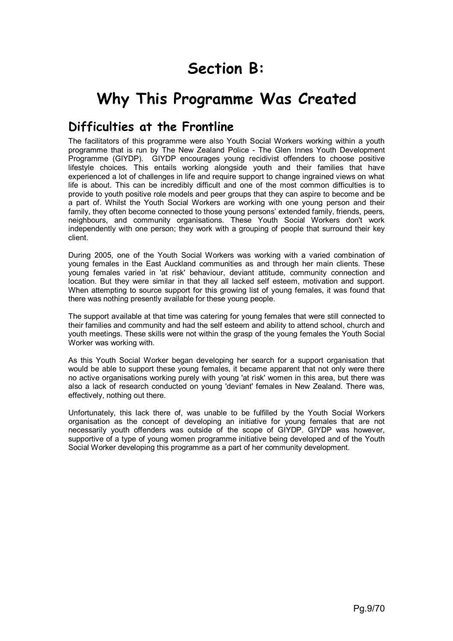# **Section B:**

# **Why This Programme Was Created**

# **Difficulties at the Frontline**

The facilitators of this programme were also Youth Social Workers working within a youth programme that is run by The New Zealand Police - The Glen Innes Youth Development Programme (GIYDP). GIYDP encourages young recidivist offenders to choose positive lifestyle choices. This entails working alongside youth and their families that have experienced a lot of challenges in life and require support to change ingrained views on what life is about. This can be incredibly difficult and one of the most common difficulties is to provide to youth positive role models and peer groups that they can aspire to become and be a part of. Whilst the Youth Social Workers are working with one young person and their family, they often become connected to those young persons' extended family, friends, peers, neighbours, and community organisations. These Youth Social Workers don't work independently with one person; they work with a grouping of people that surround their key client.

During 2005, one of the Youth Social Workers was working with a varied combination of young females in the East Auckland communities as and through her main clients. These young females varied in 'at risk' behaviour, deviant attitude, community connection and location. But they were similar in that they all lacked self esteem, motivation and support. When attempting to source support for this growing list of young females, it was found that there was nothing presently available for these young people.

The support available at that time was catering for young females that were still connected to their families and community and had the self esteem and ability to attend school, church and youth meetings. These skills were not within the grasp of the young females the Youth Social Worker was working with.

As this Youth Social Worker began developing her search for a support organisation that would be able to support these young females, it became apparent that not only were there no active organisations working purely with young 'at risk' women in this area, but there was also a lack of research conducted on young 'deviant' females in New Zealand. There was, effectively, nothing out there.

Unfortunately, this lack there of, was unable to be fulfilled by the Youth Social Workers organisation as the concept of developing an initiative for young females that are not necessarily youth offenders was outside of the scope of GIYDP. GIYDP was however, supportive of a type of young women programme initiative being developed and of the Youth Social Worker developing this programme as a part of her community development.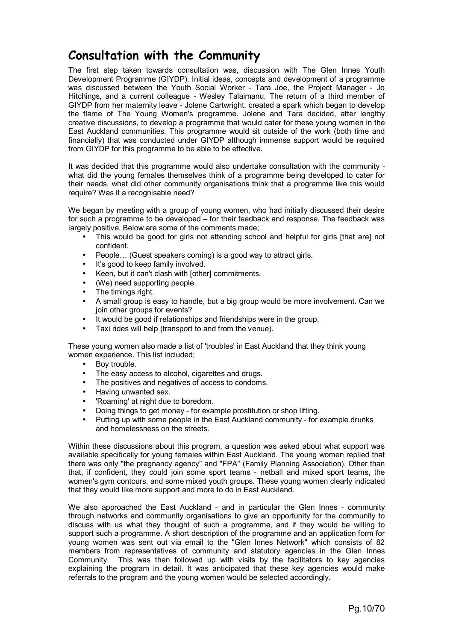# **Consultation with the Community**

The first step taken towards consultation was, discussion with The Glen Innes Youth Development Programme (GIYDP). Initial ideas, concepts and development of a programme was discussed between the Youth Social Worker - Tara Joe, the Project Manager - Jo Hitchings, and a current colleague - Wesley Talaimanu. The return of a third member of GIYDP from her maternity leave - Jolene Cartwright, created a spark which began to develop the flame of The Young Women's programme. Jolene and Tara decided, after lengthy creative discussions, to develop a programme that would cater for these young women in the East Auckland communities. This programme would sit outside of the work (both time and financially) that was conducted under GIYDP although immense support would be required from GIYDP for this programme to be able to be effective.

It was decided that this programme would also undertake consultation with the community what did the young females themselves think of a programme being developed to cater for their needs, what did other community organisations think that a programme like this would require? Was it a recognisable need?

We began by meeting with a group of young women, who had initially discussed their desire for such a programme to be developed – for their feedback and response. The feedback was largely positive. Below are some of the comments made;

- This would be good for girls not attending school and helpful for girls [that are] not confident.
- People… (Guest speakers coming) is a good way to attract girls.
- It's good to keep family involved.
- Keen, but it can't clash with [other] commitments.
- (We) need supporting people.
- The timings right.
- A small group is easy to handle, but a big group would be more involvement. Can we join other groups for events?
- It would be good if relationships and friendships were in the group.
- Taxi rides will help (transport to and from the venue).

These young women also made a list of 'troubles' in East Auckland that they think young women experience. This list included;

- Boy trouble.
- The easy access to alcohol, cigarettes and drugs.
- The positives and negatives of access to condoms.
- Having unwanted sex.
- 'Roaming' at night due to boredom.
- Doing things to get money for example prostitution or shop lifting.
- Putting up with some people in the East Auckland community for example drunks and homelessness on the streets.

Within these discussions about this program, a question was asked about what support was available specifically for young females within East Auckland. The young women replied that there was only "the pregnancy agency" and "FPA" (Family Planning Association). Other than that, if confident, they could join some sport teams - netball and mixed sport teams, the women's gym contours, and some mixed youth groups. These young women clearly indicated that they would like more support and more to do in East Auckland.

We also approached the East Auckland - and in particular the Glen Innes - community through networks and community organisations to give an opportunity for the community to discuss with us what they thought of such a programme, and if they would be willing to support such a programme. A short description of the programme and an application form for young women was sent out via email to the "Glen Innes Network" which consists of 82 members from representatives of community and statutory agencies in the Glen Innes Community. This was then followed up with visits by the facilitators to key agencies explaining the program in detail. It was anticipated that these key agencies would make referrals to the program and the young women would be selected accordingly.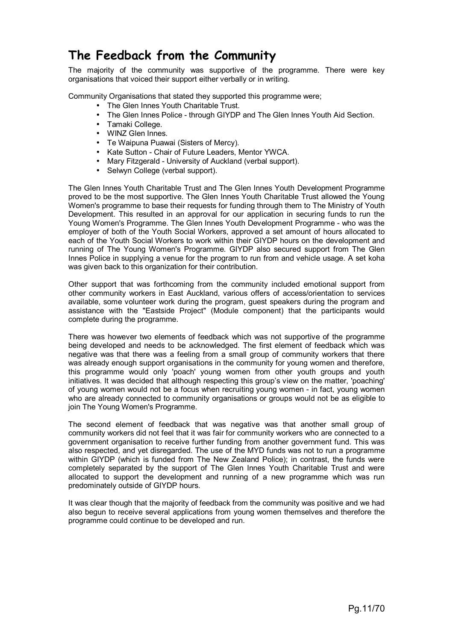# **The Feedback from the Community**

The majority of the community was supportive of the programme. There were key organisations that voiced their support either verbally or in writing.

Community Organisations that stated they supported this programme were;

- The Glen Innes Youth Charitable Trust.
- The Glen Innes Police through GIYDP and The Glen Innes Youth Aid Section.
- Tamaki College.
- WINZ Glen Innes.
- Te Waipuna Puawai (Sisters of Mercy).
- Kate Sutton Chair of Future Leaders, Mentor YWCA.
- Mary Fitzgerald University of Auckland (verbal support).
- Selwyn College (verbal support).

The Glen Innes Youth Charitable Trust and The Glen Innes Youth Development Programme proved to be the most supportive. The Glen Innes Youth Charitable Trust allowed the Young Women's programme to base their requests for funding through them to The Ministry of Youth Development. This resulted in an approval for our application in securing funds to run the Young Women's Programme. The Glen Innes Youth Development Programme - who was the employer of both of the Youth Social Workers, approved a set amount of hours allocated to each of the Youth Social Workers to work within their GIYDP hours on the development and running of The Young Women's Programme. GIYDP also secured support from The Glen Innes Police in supplying a venue for the program to run from and vehicle usage. A set koha was given back to this organization for their contribution.

Other support that was forthcoming from the community included emotional support from other community workers in East Auckland, various offers of access/orientation to services available, some volunteer work during the program, guest speakers during the program and assistance with the "Eastside Project" (Module component) that the participants would complete during the programme.

There was however two elements of feedback which was not supportive of the programme being developed and needs to be acknowledged. The first element of feedback which was negative was that there was a feeling from a small group of community workers that there was already enough support organisations in the community for young women and therefore. this programme would only 'poach' young women from other youth groups and youth initiatives. It was decided that although respecting this group's view on the matter, 'poaching' of young women would not be a focus when recruiting young women - in fact, young women who are already connected to community organisations or groups would not be as eligible to join The Young Women's Programme.

The second element of feedback that was negative was that another small group of community workers did not feel that it was fair for community workers who are connected to a government organisation to receive further funding from another government fund. This was also respected, and yet disregarded. The use of the MYD funds was not to run a programme within GIYDP (which is funded from The New Zealand Police); in contrast, the funds were completely separated by the support of The Glen Innes Youth Charitable Trust and were allocated to support the development and running of a new programme which was run predominately outside of GIYDP hours.

It was clear though that the majority of feedback from the community was positive and we had also begun to receive several applications from young women themselves and therefore the programme could continue to be developed and run.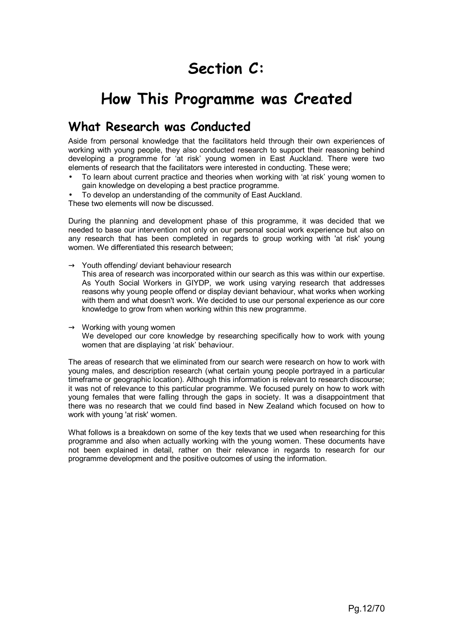# **Section C:**

# **How This Programme was Created**

# **What Research was Conducted**

Aside from personal knowledge that the facilitators held through their own experiences of working with young people, they also conducted research to support their reasoning behind developing a programme for 'at risk' young women in East Auckland. There were two elements of research that the facilitators were interested in conducting. These were;

- To learn about current practice and theories when working with 'at risk' young women to gain knowledge on developing a best practice programme.
- To develop an understanding of the community of East Auckland.

These two elements will now be discussed.

During the planning and development phase of this programme, it was decided that we needed to base our intervention not only on our personal social work experience but also on any research that has been completed in regards to group working with 'at risk' young women. We differentiated this research between;

 $\rightarrow$  Youth offending/ deviant behaviour research

This area of research was incorporated within our search as this was within our expertise. As Youth Social Workers in GIYDP, we work using varying research that addresses reasons why young people offend or display deviant behaviour, what works when working with them and what doesn't work. We decided to use our personal experience as our core knowledge to grow from when working within this new programme.

#### $\rightarrow$  Working with young women We developed our core knowledge by researching specifically how to work with young women that are displaying 'at risk' behaviour.

The areas of research that we eliminated from our search were research on how to work with young males, and description research (what certain young people portrayed in a particular timeframe or geographic location). Although this information is relevant to research discourse; it was not of relevance to this particular programme. We focused purely on how to work with young females that were falling through the gaps in society. It was a disappointment that there was no research that we could find based in New Zealand which focused on how to work with young 'at risk' women.

What follows is a breakdown on some of the key texts that we used when researching for this programme and also when actually working with the young women. These documents have not been explained in detail, rather on their relevance in regards to research for our programme development and the positive outcomes of using the information.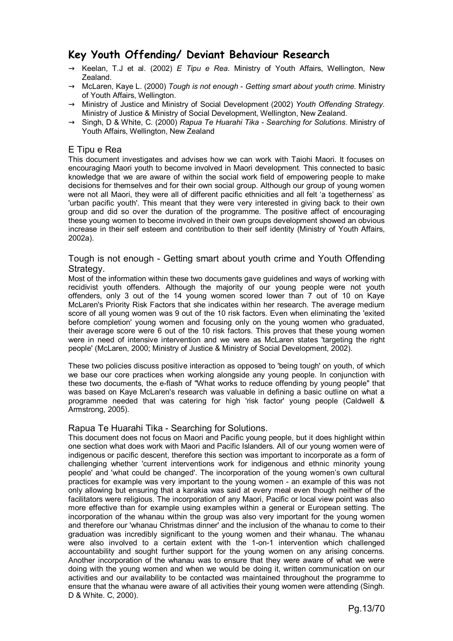# **Key Youth Offending/ Deviant Behaviour Research**

- $\rightarrow$  Keelan, T.J et al. (2002) *E Tipu e Rea*. Ministry of Youth Affairs, Wellington, New Zealand.
- → McLaren, Kaye L. (2000) *Tough is not enough Getting smart about youth crime.* Ministry of Youth Affairs, Wellington.
- → Ministry of Justice and Ministry of Social Development (2002) *Youth Offending Strategy.*  Ministry of Justice & Ministry of Social Development, Wellington, New Zealand.
- → Singh, D & White, C. (2000) *Rapua Te Huarahi Tika Searching for Solutions.* Ministry of Youth Affairs, Wellington, New Zealand

#### E Tipu e Rea

This document investigates and advises how we can work with Taiohi Maori. It focuses on encouraging Maori youth to become involved in Maori development. This connected to basic knowledge that we are aware of within the social work field of empowering people to make decisions for themselves and for their own social group. Although our group of young women were not all Maori, they were all of different pacific ethnicities and all felt 'a togetherness' as 'urban pacific youth'. This meant that they were very interested in giving back to their own group and did so over the duration of the programme. The positive affect of encouraging these young women to become involved in their own groups development showed an obvious increase in their self esteem and contribution to their self identity (Ministry of Youth Affairs, 2002a).

#### Tough is not enough - Getting smart about youth crime and Youth Offending Strategy.

Most of the information within these two documents gave guidelines and ways of working with recidivist youth offenders. Although the majority of our young people were not youth offenders, only 3 out of the 14 young women scored lower than 7 out of 10 on Kaye McLaren's Priority Risk Factors that she indicates within her research. The average medium score of all young women was 9 out of the 10 risk factors. Even when eliminating the 'exited before completion' young women and focusing only on the young women who graduated, their average score were 6 out of the 10 risk factors. This proves that these young women were in need of intensive intervention and we were as McLaren states 'targeting the right people' (McLaren, 2000; Ministry of Justice & Ministry of Social Development, 2002).

These two policies discuss positive interaction as opposed to 'being tough' on youth, of which we base our core practices when working alongside any young people. In conjunction with these two documents, the e-flash of "What works to reduce offending by young people" that was based on Kaye McLaren's research was valuable in defining a basic outline on what a programme needed that was catering for high 'risk factor' young people (Caldwell & Armstrong, 2005).

#### Rapua Te Huarahi Tika - Searching for Solutions.

This document does not focus on Maori and Pacific young people, but it does highlight within one section what does work with Maori and Pacific Islanders. All of our young women were of indigenous or pacific descent, therefore this section was important to incorporate as a form of challenging whether 'current interventions work for indigenous and ethnic minority young people' and 'what could be changed'. The incorporation of the young women's own cultural practices for example was very important to the young women - an example of this was not only allowing but ensuring that a karakia was said at every meal even though neither of the facilitators were religious. The incorporation of any Maori, Pacific or local view point was also more effective than for example using examples within a general or European setting. The incorporation of the whanau within the group was also very important for the young women and therefore our 'whanau Christmas dinner' and the inclusion of the whanau to come to their graduation was incredibly significant to the young women and their whanau. The whanau were also involved to a certain extent with the 1-on-1 intervention which challenged accountability and sought further support for the young women on any arising concerns. Another incorporation of the whanau was to ensure that they were aware of what we were doing with the young women and when we would be doing it, written communication on our activities and our availability to be contacted was maintained throughout the programme to ensure that the whanau were aware of all activities their young women were attending (Singh. D & White. C, 2000).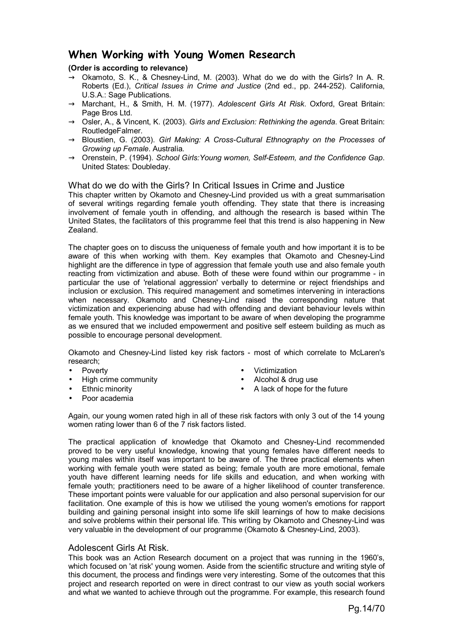# **When Working with Young Women Research**

**(Order is according to relevance)** 

- $\rightarrow$  Okamoto, S. K., & Chesney-Lind, M. (2003). What do we do with the Girls? In A. R. Roberts (Ed.), *Critical Issues in Crime and Justice* (2nd ed., pp. 244-252). California, U.S.A.: Sage Publications.
- → Marchant, H., & Smith, H. M. (1977). *Adolescent Girls At Risk*. Oxford, Great Britain: Page Bros Ltd.
- → Osler, A., & Vincent, K. (2003). *Girls and Exclusion: Rethinking the agenda*. Great Britain: RoutledgeFalmer.
- → Bloustien, G. (2003). *Girl Making: A Cross-Cultural Ethnography on the Processes of Growing up Female*. Australia.
- → Orenstein, P. (1994). *School Girls:Young women, Self-Esteem, and the Confidence Gap*. United States: Doubleday.

What do we do with the Girls? In Critical Issues in Crime and Justice

This chapter written by Okamoto and Chesney-Lind provided us with a great summarisation of several writings regarding female youth offending. They state that there is increasing involvement of female youth in offending, and although the research is based within The United States, the facilitators of this programme feel that this trend is also happening in New Zealand.

The chapter goes on to discuss the uniqueness of female youth and how important it is to be aware of this when working with them. Key examples that Okamoto and Chesney-Lind highlight are the difference in type of aggression that female youth use and also female youth reacting from victimization and abuse. Both of these were found within our programme - in particular the use of 'relational aggression' verbally to determine or reject friendships and inclusion or exclusion. This required management and sometimes intervening in interactions when necessary. Okamoto and Chesney-Lind raised the corresponding nature that victimization and experiencing abuse had with offending and deviant behaviour levels within female youth. This knowledge was important to be aware of when developing the programme as we ensured that we included empowerment and positive self esteem building as much as possible to encourage personal development.

Okamoto and Chesney-Lind listed key risk factors - most of which correlate to McLaren's research;

- **Poverty**
- High crime community
- Ethnic minority
- 
- **Victimization**
- Alcohol & drug use
- A lack of hope for the future

- Poor academia
- Again, our young women rated high in all of these risk factors with only 3 out of the 14 young women rating lower than 6 of the 7 risk factors listed.

The practical application of knowledge that Okamoto and Chesney-Lind recommended proved to be very useful knowledge, knowing that young females have different needs to young males within itself was important to be aware of. The three practical elements when working with female youth were stated as being; female youth are more emotional, female youth have different learning needs for life skills and education, and when working with female youth; practitioners need to be aware of a higher likelihood of counter transference. These important points were valuable for our application and also personal supervision for our facilitation. One example of this is how we utilised the young women's emotions for rapport building and gaining personal insight into some life skill learnings of how to make decisions and solve problems within their personal life. This writing by Okamoto and Chesney-Lind was very valuable in the development of our programme (Okamoto & Chesney-Lind, 2003).

#### Adolescent Girls At Risk.

This book was an Action Research document on a project that was running in the 1960's, which focused on 'at risk' young women. Aside from the scientific structure and writing style of this document, the process and findings were very interesting. Some of the outcomes that this project and research reported on were in direct contrast to our view as youth social workers and what we wanted to achieve through out the programme. For example, this research found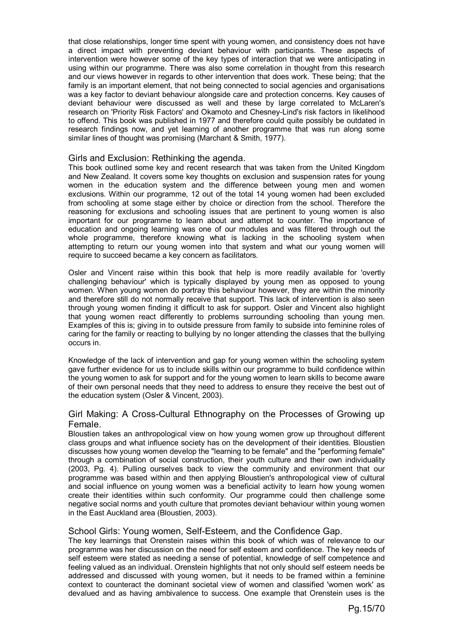that close relationships, longer time spent with young women, and consistency does not have a direct impact with preventing deviant behaviour with participants. These aspects of intervention were however some of the key types of interaction that we were anticipating in using within our programme. There was also some correlation in thought from this research and our views however in regards to other intervention that does work. These being; that the family is an important element, that not being connected to social agencies and organisations was a key factor to deviant behaviour alongside care and protection concerns. Key causes of deviant behaviour were discussed as well and these by large correlated to McLaren's research on 'Priority Risk Factors' and Okamoto and Chesney-Lind's risk factors in likelihood to offend. This book was published in 1977 and therefore could quite possibly be outdated in research findings now, and yet learning of another programme that was run along some similar lines of thought was promising (Marchant & Smith, 1977).

#### Girls and Exclusion: Rethinking the agenda.

This book outlined some key and recent research that was taken from the United Kingdom and New Zealand. It covers some key thoughts on exclusion and suspension rates for young women in the education system and the difference between young men and women exclusions. Within our programme, 12 out of the total 14 young women had been excluded from schooling at some stage either by choice or direction from the school. Therefore the reasoning for exclusions and schooling issues that are pertinent to young women is also important for our programme to learn about and attempt to counter. The importance of education and ongoing learning was one of our modules and was filtered through out the whole programme, therefore knowing what is lacking in the schooling system when attempting to return our young women into that system and what our young women will require to succeed became a key concern as facilitators.

Osler and Vincent raise within this book that help is more readily available for 'overtly challenging behaviour' which is typically displayed by young men as opposed to young women. When young women do portray this behaviour however, they are within the minority and therefore still do not normally receive that support. This lack of intervention is also seen through young women finding it difficult to ask for support. Osler and Vincent also highlight that young women react differently to problems surrounding schooling than young men. Examples of this is; giving in to outside pressure from family to subside into feminine roles of caring for the family or reacting to bullying by no longer attending the classes that the bullying occurs in.

Knowledge of the lack of intervention and gap for young women within the schooling system gave further evidence for us to include skills within our programme to build confidence within the young women to ask for support and for the young women to learn skills to become aware of their own personal needs that they need to address to ensure they receive the best out of the education system (Osler & Vincent, 2003).

# Girl Making: A Cross-Cultural Ethnography on the Processes of Growing up Female.

Bloustien takes an anthropological view on how young women grow up throughout different class groups and what influence society has on the development of their identities. Bloustien discusses how young women develop the "learning to be female" and the "performing female" through a combination of social construction, their youth culture and their own individuality (2003, Pg. 4). Pulling ourselves back to view the community and environment that our programme was based within and then applying Bloustien's anthropological view of cultural and social influence on young women was a beneficial activity to learn how young women create their identities within such conformity. Our programme could then challenge some negative social norms and youth culture that promotes deviant behaviour within young women in the East Auckland area (Bloustien, 2003).

#### School Girls: Young women, Self-Esteem, and the Confidence Gap.

The key learnings that Orenstein raises within this book of which was of relevance to our programme was her discussion on the need for self esteem and confidence. The key needs of self esteem were stated as needing a sense of potential, knowledge of self competence and feeling valued as an individual. Orenstein highlights that not only should self esteem needs be addressed and discussed with young women, but it needs to be framed within a feminine context to counteract the dominant societal view of women and classified 'women work' as devalued and as having ambivalence to success. One example that Orenstein uses is the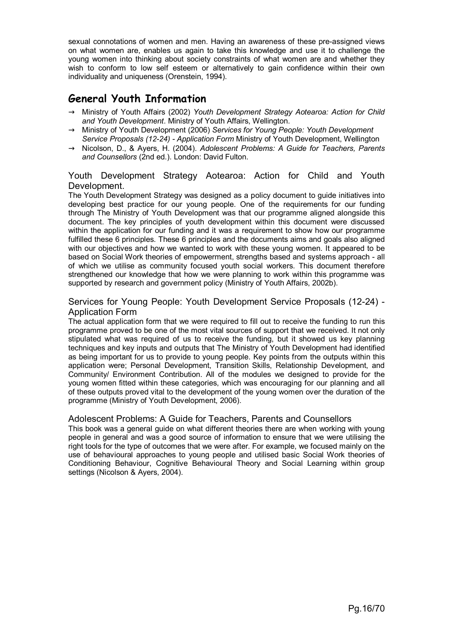sexual connotations of women and men. Having an awareness of these pre-assigned views on what women are, enables us again to take this knowledge and use it to challenge the young women into thinking about society constraints of what women are and whether they wish to conform to low self esteem or alternatively to gain confidence within their own individuality and uniqueness (Orenstein, 1994).

# **General Youth Information**

- → Ministry of Youth Affairs (2002) *Youth Development Strategy Aotearoa: Action for Child and Youth Development*. Ministry of Youth Affairs, Wellington.
- → Ministry of Youth Development (2006) *Services for Young People: Youth Development Service Proposals (12-24) - Application Form* Ministry of Youth Development, Wellington
- → Nicolson, D., & Ayers, H. (2004). *Adolescent Problems: A Guide for Teachers, Parents and Counsellors* (2nd ed.). London: David Fulton.

# Youth Development Strategy Aotearoa: Action for Child and Youth Development.

The Youth Development Strategy was designed as a policy document to guide initiatives into developing best practice for our young people. One of the requirements for our funding through The Ministry of Youth Development was that our programme aligned alongside this document. The key principles of youth development within this document were discussed within the application for our funding and it was a requirement to show how our programme fulfilled these 6 principles. These 6 principles and the documents aims and goals also aligned with our objectives and how we wanted to work with these young women. It appeared to be based on Social Work theories of empowerment, strengths based and systems approach - all of which we utilise as community focused youth social workers. This document therefore strengthened our knowledge that how we were planning to work within this programme was supported by research and government policy (Ministry of Youth Affairs, 2002b).

#### Services for Young People: Youth Development Service Proposals (12-24) - Application Form

The actual application form that we were required to fill out to receive the funding to run this programme proved to be one of the most vital sources of support that we received. It not only stipulated what was required of us to receive the funding, but it showed us key planning techniques and key inputs and outputs that The Ministry of Youth Development had identified as being important for us to provide to young people. Key points from the outputs within this application were; Personal Development, Transition Skills, Relationship Development, and Community/ Environment Contribution. All of the modules we designed to provide for the young women fitted within these categories, which was encouraging for our planning and all of these outputs proved vital to the development of the young women over the duration of the programme (Ministry of Youth Development, 2006).

# Adolescent Problems: A Guide for Teachers, Parents and Counsellors

This book was a general guide on what different theories there are when working with young people in general and was a good source of information to ensure that we were utilising the right tools for the type of outcomes that we were after. For example, we focused mainly on the use of behavioural approaches to young people and utilised basic Social Work theories of Conditioning Behaviour, Cognitive Behavioural Theory and Social Learning within group settings (Nicolson & Ayers, 2004).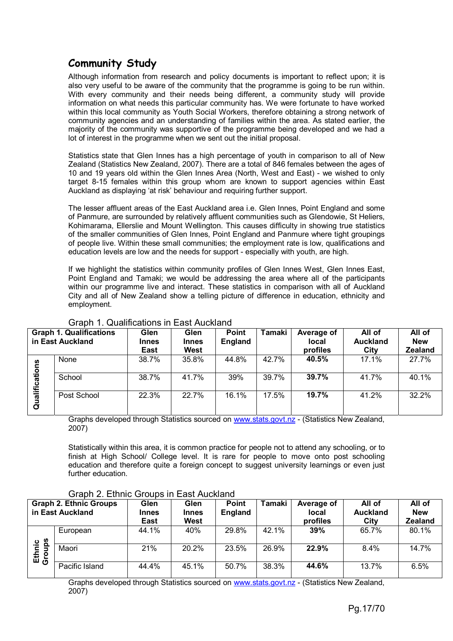# **Community Study**

Although information from research and policy documents is important to reflect upon; it is also very useful to be aware of the community that the programme is going to be run within. With every community and their needs being different, a community study will provide information on what needs this particular community has. We were fortunate to have worked within this local community as Youth Social Workers, therefore obtaining a strong network of community agencies and an understanding of families within the area. As stated earlier, the majority of the community was supportive of the programme being developed and we had a lot of interest in the programme when we sent out the initial proposal.

Statistics state that Glen Innes has a high percentage of youth in comparison to all of New Zealand (Statistics New Zealand, 2007). There are a total of 846 females between the ages of 10 and 19 years old within the Glen Innes Area (North, West and East) - we wished to only target 8-15 females within this group whom are known to support agencies within East Auckland as displaying 'at risk' behaviour and requiring further support.

The lesser affluent areas of the East Auckland area i.e. Glen Innes, Point England and some of Panmure, are surrounded by relatively affluent communities such as Glendowie, St Heliers, Kohimarama, Ellerslie and Mount Wellington. This causes difficulty in showing true statistics of the smaller communities of Glen Innes, Point England and Panmure where tight groupings of people live. Within these small communities; the employment rate is low, qualifications and education levels are low and the needs for support - especially with youth, are high.

If we highlight the statistics within community profiles of Glen Innes West, Glen Innes East, Point England and Tamaki; we would be addressing the area where all of the participants within our programme live and interact. These statistics in comparison with all of Auckland City and all of New Zealand show a telling picture of difference in education, ethnicity and employment.

| <b>Graph 1. Qualifications</b><br>in East Auckland |             | Glen<br><b>Innes</b><br>East | Glen<br><b>Innes</b><br>West | <b>Point</b><br>England | <b>Tamaki</b> | Average of<br><b>local</b><br>profiles | All of<br><b>Auckland</b><br>City | All of<br><b>New</b><br><b>Zealand</b> |
|----------------------------------------------------|-------------|------------------------------|------------------------------|-------------------------|---------------|----------------------------------------|-----------------------------------|----------------------------------------|
|                                                    | None        | 38.7%                        | 35.8%                        | 44.8%                   | 42.7%         | 40.5%                                  | 17.1%                             | 27.7%                                  |
| alifications                                       | School      | 38.7%                        | 41.7%                        | 39%                     | 39.7%         | 39.7%                                  | 41.7%                             | 40.1%                                  |
| $\bar{c}$                                          | Post School | 22.3%                        | 22.7%                        | 16.1%                   | 17.5%         | 19.7%                                  | 41.2%                             | 32.2%                                  |

# Graph 1. Qualifications in East Auckland

Graphs developed through Statistics sourced on www.stats.govt.nz - (Statistics New Zealand, 2007)

Statistically within this area, it is common practice for people not to attend any schooling, or to finish at High School/ College level. It is rare for people to move onto post schooling education and therefore quite a foreign concept to suggest university learnings or even just further education.

|                         | <b>Graph 2. Ethnic Groups</b> | Glen         | Glen         | <b>Point</b> | Tamaki | Average of | All of          | All of         |
|-------------------------|-------------------------------|--------------|--------------|--------------|--------|------------|-----------------|----------------|
|                         | in East Auckland              | <b>Innes</b> | <b>Innes</b> | England      |        | local      | <b>Auckland</b> | <b>New</b>     |
|                         |                               | <b>East</b>  | West         |              |        | profiles   | City            | <b>Zealand</b> |
|                         | European                      | 44.1%        | 40%          | 29.8%        | 42.1%  | 39%        | 65.7%           | 80.1%          |
| adn<br>Ethnic<br>Groups | Maori                         | 21%          | 20.2%        | 23.5%        | 26.9%  | 22.9%      | $8.4\%$         | 14.7%          |
|                         | Pacific Island                | 44.4%        | 45.1%        | 50.7%        | 38.3%  | 44.6%      | 13.7%           | 6.5%           |

Graphs developed through Statistics sourced on www.stats.govt.nz - (Statistics New Zealand, 2007)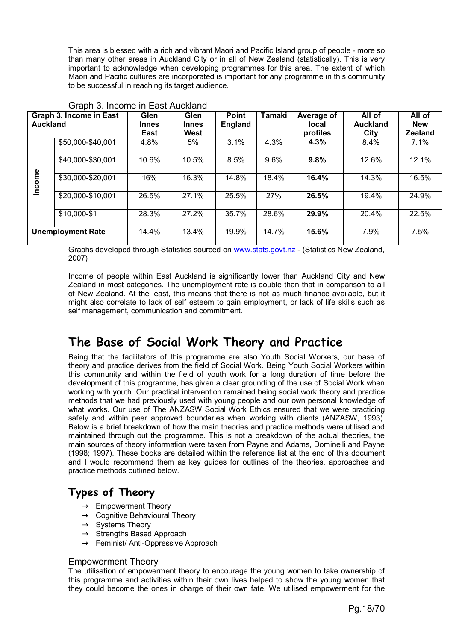This area is blessed with a rich and vibrant Maori and Pacific Island group of people - more so than many other areas in Auckland City or in all of New Zealand (statistically). This is very important to acknowledge when developing programmes for this area. The extent of which Maori and Pacific cultures are incorporated is important for any programme in this community to be successful in reaching its target audience.

| <b>Auckland</b> | Graph 3. Income in East  | Glen<br><b>Innes</b><br>East | Glen<br><b>Innes</b><br>West | <b>Point</b><br><b>England</b> | Tamaki | Average of<br>local<br>profiles | All of<br><b>Auckland</b><br>City | All of<br><b>New</b><br><b>Zealand</b> |
|-----------------|--------------------------|------------------------------|------------------------------|--------------------------------|--------|---------------------------------|-----------------------------------|----------------------------------------|
|                 | \$50,000-\$40,001        | 4.8%                         | 5%                           | 3.1%                           | 4.3%   | 4.3%                            | 8.4%                              | 7.1%                                   |
|                 | \$40,000-\$30,001        | 10.6%                        | 10.5%                        | 8.5%                           | 9.6%   | 9.8%                            | 12.6%                             | 12.1%                                  |
| Income          | \$30,000-\$20,001        | 16%                          | 16.3%                        | 14.8%                          | 18.4%  | 16.4%                           | 14.3%                             | 16.5%                                  |
|                 | \$20,000-\$10,001        | 26.5%                        | 27.1%                        | 25.5%                          | 27%    | 26.5%                           | 19.4%                             | 24.9%                                  |
|                 | \$10,000-\$1             | 28.3%                        | 27.2%                        | 35.7%                          | 28.6%  | 29.9%                           | 20.4%                             | 22.5%                                  |
|                 | <b>Unemployment Rate</b> | 14.4%                        | 13.4%                        | 19.9%                          | 14.7%  | 15.6%                           | 7.9%                              | 7.5%                                   |

#### Graph 3. Income in East Auckland

Graphs developed through Statistics sourced on www.stats.govt.nz - (Statistics New Zealand, 2007)

Income of people within East Auckland is significantly lower than Auckland City and New Zealand in most categories. The unemployment rate is double than that in comparison to all of New Zealand. At the least, this means that there is not as much finance available, but it might also correlate to lack of self esteem to gain employment, or lack of life skills such as self management, communication and commitment.

# **The Base of Social Work Theory and Practice**

Being that the facilitators of this programme are also Youth Social Workers, our base of theory and practice derives from the field of Social Work. Being Youth Social Workers within this community and within the field of youth work for a long duration of time before the development of this programme, has given a clear grounding of the use of Social Work when working with youth. Our practical intervention remained being social work theory and practice methods that we had previously used with young people and our own personal knowledge of what works. Our use of The ANZASW Social Work Ethics ensured that we were practicing safely and within peer approved boundaries when working with clients (ANZASW, 1993). Below is a brief breakdown of how the main theories and practice methods were utilised and maintained through out the programme. This is not a breakdown of the actual theories, the main sources of theory information were taken from Payne and Adams, Dominelli and Payne (1998; 1997). These books are detailed within the reference list at the end of this document and I would recommend them as key guides for outlines of the theories, approaches and practice methods outlined below.

# **Types of Theory**

- $\rightarrow$  Empowerment Theory
- $\rightarrow$  Cognitive Behavioural Theory
- $\rightarrow$  Systems Theory
- $\rightarrow$  Strengths Based Approach
- $\rightarrow$  Feminist/ Anti-Oppressive Approach

#### Empowerment Theory

The utilisation of empowerment theory to encourage the young women to take ownership of this programme and activities within their own lives helped to show the young women that they could become the ones in charge of their own fate. We utilised empowerment for the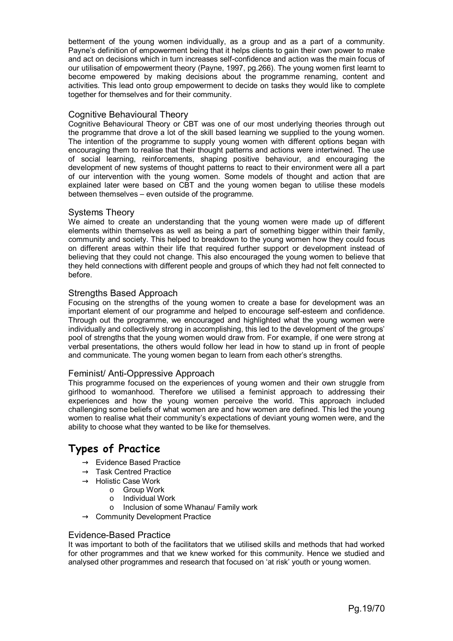betterment of the young women individually, as a group and as a part of a community. Payne's definition of empowerment being that it helps clients to gain their own power to make and act on decisions which in turn increases self-confidence and action was the main focus of our utilisation of empowerment theory (Payne, 1997, pg.266). The young women first learnt to become empowered by making decisions about the programme renaming, content and activities. This lead onto group empowerment to decide on tasks they would like to complete together for themselves and for their community.

#### Cognitive Behavioural Theory

Cognitive Behavioural Theory or CBT was one of our most underlying theories through out the programme that drove a lot of the skill based learning we supplied to the young women. The intention of the programme to supply young women with different options began with encouraging them to realise that their thought patterns and actions were intertwined. The use of social learning, reinforcements, shaping positive behaviour, and encouraging the development of new systems of thought patterns to react to their environment were all a part of our intervention with the young women. Some models of thought and action that are explained later were based on CBT and the young women began to utilise these models between themselves – even outside of the programme.

#### Systems Theory

We aimed to create an understanding that the young women were made up of different elements within themselves as well as being a part of something bigger within their family, community and society. This helped to breakdown to the young women how they could focus on different areas within their life that required further support or development instead of believing that they could not change. This also encouraged the young women to believe that they held connections with different people and groups of which they had not felt connected to before.

#### Strengths Based Approach

Focusing on the strengths of the young women to create a base for development was an important element of our programme and helped to encourage self-esteem and confidence. Through out the programme, we encouraged and highlighted what the young women were individually and collectively strong in accomplishing, this led to the development of the groups' pool of strengths that the young women would draw from. For example, if one were strong at verbal presentations, the others would follow her lead in how to stand up in front of people and communicate. The young women began to learn from each other's strengths.

#### Feminist/ Anti-Oppressive Approach

This programme focused on the experiences of young women and their own struggle from girlhood to womanhood. Therefore we utilised a feminist approach to addressing their experiences and how the young women perceive the world. This approach included challenging some beliefs of what women are and how women are defined. This led the young women to realise what their community's expectations of deviant young women were, and the ability to choose what they wanted to be like for themselves.

# **Types of Practice**

- $\rightarrow$  Evidence Based Practice
- $\rightarrow$  Task Centred Practice
- $\rightarrow$  Holistic Case Work
	- o Group Work
	- o Individual Work
	- o Inclusion of some Whanau/ Family work
- $\rightarrow$  Community Development Practice

#### Evidence-Based Practice

It was important to both of the facilitators that we utilised skills and methods that had worked for other programmes and that we knew worked for this community. Hence we studied and analysed other programmes and research that focused on 'at risk' youth or young women.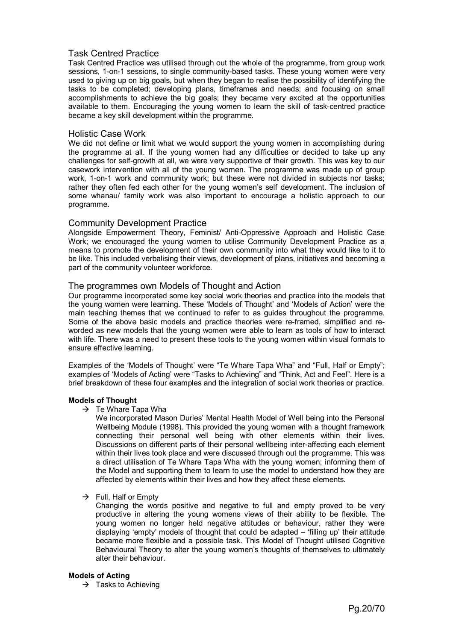#### Task Centred Practice

Task Centred Practice was utilised through out the whole of the programme, from group work sessions, 1-on-1 sessions, to single community-based tasks. These young women were very used to giving up on big goals, but when they began to realise the possibility of identifying the tasks to be completed; developing plans, timeframes and needs; and focusing on small accomplishments to achieve the big goals; they became very excited at the opportunities available to them. Encouraging the young women to learn the skill of task-centred practice became a key skill development within the programme.

#### Holistic Case Work

We did not define or limit what we would support the young women in accomplishing during the programme at all. If the young women had any difficulties or decided to take up any challenges for self-growth at all, we were very supportive of their growth. This was key to our casework intervention with all of the young women. The programme was made up of group work, 1-on-1 work and community work; but these were not divided in subjects nor tasks; rather they often fed each other for the young women's self development. The inclusion of some whanau/ family work was also important to encourage a holistic approach to our programme.

#### Community Development Practice

Alongside Empowerment Theory, Feminist/ Anti-Oppressive Approach and Holistic Case Work; we encouraged the young women to utilise Community Development Practice as a means to promote the development of their own community into what they would like to it to be like. This included verbalising their views, development of plans, initiatives and becoming a part of the community volunteer workforce.

#### The programmes own Models of Thought and Action

Our programme incorporated some key social work theories and practice into the models that the young women were learning. These 'Models of Thought' and 'Models of Action' were the main teaching themes that we continued to refer to as guides throughout the programme. Some of the above basic models and practice theories were re-framed, simplified and reworded as new models that the young women were able to learn as tools of how to interact with life. There was a need to present these tools to the young women within visual formats to ensure effective learning.

Examples of the 'Models of Thought' were "Te Whare Tapa Wha" and "Full, Half or Empty"; examples of 'Models of Acting' were "Tasks to Achieving" and "Think, Act and Feel". Here is a brief breakdown of these four examples and the integration of social work theories or practice.

#### **Models of Thought**

 $\rightarrow$  Te Whare Tapa Wha

We incorporated Mason Duries' Mental Health Model of Well being into the Personal Wellbeing Module (1998). This provided the young women with a thought framework connecting their personal well being with other elements within their lives. Discussions on different parts of their personal wellbeing inter-affecting each element within their lives took place and were discussed through out the programme. This was a direct utilisation of Te Whare Tapa Wha with the young women; informing them of the Model and supporting them to learn to use the model to understand how they are affected by elements within their lives and how they affect these elements.

 $\rightarrow$  Full, Half or Empty

Changing the words positive and negative to full and empty proved to be very productive in altering the young womens views of their ability to be flexible. The young women no longer held negative attitudes or behaviour, rather they were displaying 'empty' models of thought that could be adapted – 'filling up' their attitude became more flexible and a possible task. This Model of Thought utilised Cognitive Behavioural Theory to alter the young women's thoughts of themselves to ultimately alter their behaviour.

#### **Models of Acting**

 $\rightarrow$  Tasks to Achieving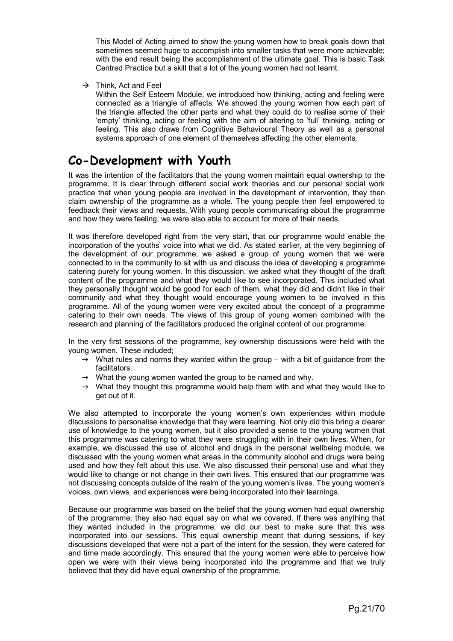This Model of Acting aimed to show the young women how to break goals down that sometimes seemed huge to accomplish into smaller tasks that were more achievable; with the end result being the accomplishment of the ultimate goal. This is basic Task Centred Practice but a skill that a lot of the young women had not learnt.

 $\rightarrow$  Think, Act and Feel

Within the Self Esteem Module, we introduced how thinking, acting and feeling were connected as a triangle of affects. We showed the young women how each part of the triangle affected the other parts and what they could do to realise some of their 'empty' thinking, acting or feeling with the aim of altering to 'full' thinking, acting or feeling. This also draws from Cognitive Behavioural Theory as well as a personal systems approach of one element of themselves affecting the other elements.

# **Co-Development with Youth**

It was the intention of the facilitators that the young women maintain equal ownership to the programme. It is clear through different social work theories and our personal social work practice that when young people are involved in the development of intervention, they then claim ownership of the programme as a whole. The young people then feel empowered to feedback their views and requests. With young people communicating about the programme and how they were feeling, we were also able to account for more of their needs.

It was therefore developed right from the very start, that our programme would enable the incorporation of the youths' voice into what we did. As stated earlier, at the very beginning of the development of our programme, we asked a group of young women that we were connected to in the community to sit with us and discuss the idea of developing a programme catering purely for young women. In this discussion, we asked what they thought of the draft content of the programme and what they would like to see incorporated. This included what they personally thought would be good for each of them, what they did and didn't like in their community and what they thought would encourage young women to be involved in this programme. All of the young women were very excited about the concept of a programme catering to their own needs. The views of this group of young women combined with the research and planning of the facilitators produced the original content of our programme.

In the very first sessions of the programme, key ownership discussions were held with the young women. These included;

- $\rightarrow$  What rules and norms they wanted within the group with a bit of guidance from the facilitators.
- $\rightarrow$  What the young women wanted the group to be named and why.
- $\rightarrow$  What they thought this programme would help them with and what they would like to get out of it.

We also attempted to incorporate the young women's own experiences within module discussions to personalise knowledge that they were learning. Not only did this bring a clearer use of knowledge to the young women, but it also provided a sense to the young women that this programme was catering to what they were struggling with in their own lives. When, for example, we discussed the use of alcohol and drugs in the personal wellbeing module, we discussed with the young women what areas in the community alcohol and drugs were being used and how they felt about this use. We also discussed their personal use and what they would like to change or not change in their own lives. This ensured that our programme was not discussing concepts outside of the realm of the young women's lives. The young women's voices, own views, and experiences were being incorporated into their learnings.

Because our programme was based on the belief that the young women had equal ownership of the programme, they also had equal say on what we covered. If there was anything that they wanted included in the programme, we did our best to make sure that this was incorporated into our sessions. This equal ownership meant that during sessions, if key discussions developed that were not a part of the intent for the session, they were catered for and time made accordingly. This ensured that the young women were able to perceive how open we were with their views being incorporated into the programme and that we truly believed that they did have equal ownership of the programme.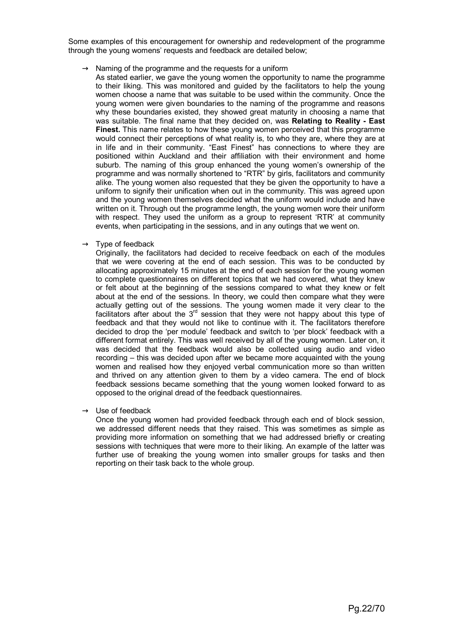Some examples of this encouragement for ownership and redevelopment of the programme through the young womens' requests and feedback are detailed below;

- $\rightarrow$  Naming of the programme and the requests for a uniform
	- As stated earlier, we gave the young women the opportunity to name the programme to their liking. This was monitored and guided by the facilitators to help the young women choose a name that was suitable to be used within the community. Once the young women were given boundaries to the naming of the programme and reasons why these boundaries existed, they showed great maturity in choosing a name that was suitable. The final name that they decided on, was **Relating to Reality - East Finest.** This name relates to how these young women perceived that this programme would connect their perceptions of what reality is, to who they are, where they are at in life and in their community. "East Finest" has connections to where they are positioned within Auckland and their affiliation with their environment and home suburb. The naming of this group enhanced the young women's ownership of the programme and was normally shortened to "RTR" by girls, facilitators and community alike. The young women also requested that they be given the opportunity to have a uniform to signify their unification when out in the community. This was agreed upon and the young women themselves decided what the uniform would include and have written on it. Through out the programme length, the young women wore their uniform with respect. They used the uniform as a group to represent 'RTR' at community events, when participating in the sessions, and in any outings that we went on.
- $\rightarrow$  Type of feedback

Originally, the facilitators had decided to receive feedback on each of the modules that we were covering at the end of each session. This was to be conducted by allocating approximately 15 minutes at the end of each session for the young women to complete questionnaires on different topics that we had covered, what they knew or felt about at the beginning of the sessions compared to what they knew or felt about at the end of the sessions. In theory, we could then compare what they were actually getting out of the sessions. The young women made it very clear to the facilitators after about the  $3<sup>rd</sup>$  session that they were not happy about this type of feedback and that they would not like to continue with it. The facilitators therefore decided to drop the 'per module' feedback and switch to 'per block' feedback with a different format entirely. This was well received by all of the young women. Later on, it was decided that the feedback would also be collected using audio and video recording – this was decided upon after we became more acquainted with the young women and realised how they enjoyed verbal communication more so than written and thrived on any attention given to them by a video camera. The end of block feedback sessions became something that the young women looked forward to as opposed to the original dread of the feedback questionnaires.

 $\rightarrow$  Use of feedback

Once the young women had provided feedback through each end of block session, we addressed different needs that they raised. This was sometimes as simple as providing more information on something that we had addressed briefly or creating sessions with techniques that were more to their liking. An example of the latter was further use of breaking the young women into smaller groups for tasks and then reporting on their task back to the whole group.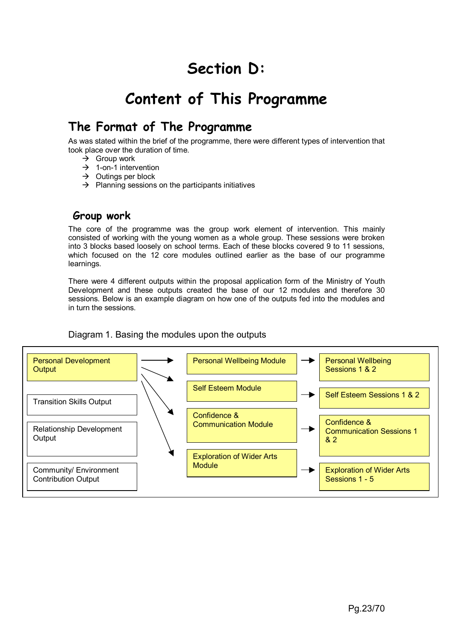# **Section D:**

# **Content of This Programme**

# **The Format of The Programme**

As was stated within the brief of the programme, there were different types of intervention that took place over the duration of time.

- $\rightarrow$  Group work
- $\rightarrow$  1-on-1 intervention
- $\rightarrow$  Outings per block
- $\rightarrow$  Planning sessions on the participants initiatives

# **Group work**

The core of the programme was the group work element of intervention. This mainly consisted of working with the young women as a whole group. These sessions were broken into 3 blocks based loosely on school terms. Each of these blocks covered 9 to 11 sessions, which focused on the 12 core modules outlined earlier as the base of our programme learnings.

There were 4 different outputs within the proposal application form of the Ministry of Youth Development and these outputs created the base of our 12 modules and therefore 30 sessions. Below is an example diagram on how one of the outputs fed into the modules and in turn the sessions.

# Diagram 1. Basing the modules upon the outputs

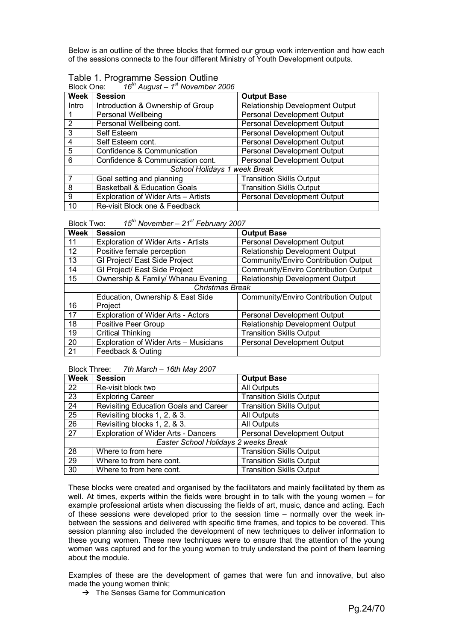Below is an outline of the three blocks that formed our group work intervention and how each of the sessions connects to the four different Ministry of Youth Development outputs.

|            | Table 1. Programme Session Outline            |
|------------|-----------------------------------------------|
| Block One: | $16th$ August – 1 <sup>st</sup> November 2006 |

| טווט אוטשוש.<br><b>Week</b> | TO August The November 2000<br><b>Session</b><br><b>Output Base</b> |                                        |  |  |
|-----------------------------|---------------------------------------------------------------------|----------------------------------------|--|--|
|                             |                                                                     |                                        |  |  |
| Intro                       | Introduction & Ownership of Group                                   | <b>Relationship Development Output</b> |  |  |
|                             | <b>Personal Wellbeing</b>                                           | Personal Development Output            |  |  |
| $\mathfrak{p}$              | Personal Wellbeing cont.                                            | Personal Development Output            |  |  |
| 3                           | Self Esteem                                                         | Personal Development Output            |  |  |
| 4                           | Self Esteem cont.                                                   | Personal Development Output            |  |  |
| 5                           | Confidence & Communication                                          | Personal Development Output            |  |  |
| 6                           | Confidence & Communication cont.                                    | Personal Development Output            |  |  |
|                             | School Holidays 1 week Break                                        |                                        |  |  |
|                             | Goal setting and planning                                           | <b>Transition Skills Output</b>        |  |  |
| 8                           | <b>Basketball &amp; Education Goals</b>                             | <b>Transition Skills Output</b>        |  |  |
| 9                           | Exploration of Wider Arts - Artists                                 | Personal Development Output            |  |  |
| 10                          | Re-visit Block one & Feedback                                       |                                        |  |  |

Block Two: *15th November – 21st February 2007* 

| <b>Week</b> | <b>Session</b>                             | <b>Output Base</b>                          |
|-------------|--------------------------------------------|---------------------------------------------|
| 11          | <b>Exploration of Wider Arts - Artists</b> | Personal Development Output                 |
| 12          | Positive female perception                 | Relationship Development Output             |
| 13          | GI Project/ East Side Project              | Community/Enviro Contribution Output        |
| 14          | GI Project/ East Side Project              | <b>Community/Enviro Contribution Output</b> |
| 15          | Ownership & Family/ Whanau Evening         | <b>Relationship Development Output</b>      |
|             | <b>Christmas Break</b>                     |                                             |
|             | Education, Ownership & East Side           | Community/Enviro Contribution Output        |
| 16          | Project                                    |                                             |
| 17          | Exploration of Wider Arts - Actors         | Personal Development Output                 |
| 18          | Positive Peer Group                        | Relationship Development Output             |
| 19          | <b>Critical Thinking</b>                   | <b>Transition Skills Output</b>             |
| 20          | Exploration of Wider Arts - Musicians      | Personal Development Output                 |
| 21          | Feedback & Outing                          |                                             |

Block Three: *7th March – 16th May 2007* 

| Week            | <b>Session</b>                             | <b>Output Base</b>              |
|-----------------|--------------------------------------------|---------------------------------|
| 22              | Re-visit block two                         | All Outputs                     |
| 23              | <b>Exploring Career</b>                    | <b>Transition Skills Output</b> |
| 24              | Revisiting Education Goals and Career      | <b>Transition Skills Output</b> |
| $\overline{25}$ | Revisiting blocks 1, 2, & 3.               | All Outputs                     |
| $\overline{26}$ | Revisiting blocks 1, 2, & 3.               | All Outputs                     |
| $\overline{27}$ | <b>Exploration of Wider Arts - Dancers</b> | Personal Development Output     |
|                 | Easter School Holidays 2 weeks Break       |                                 |
| 28              | Where to from here                         | <b>Transition Skills Output</b> |
| 29              | Where to from here cont.                   | <b>Transition Skills Output</b> |
| 30              | Where to from here cont.                   | <b>Transition Skills Output</b> |

These blocks were created and organised by the facilitators and mainly facilitated by them as well. At times, experts within the fields were brought in to talk with the young women – for example professional artists when discussing the fields of art, music, dance and acting. Each of these sessions were developed prior to the session time – normally over the week inbetween the sessions and delivered with specific time frames, and topics to be covered. This session planning also included the development of new techniques to deliver information to these young women. These new techniques were to ensure that the attention of the young women was captured and for the young women to truly understand the point of them learning about the module.

Examples of these are the development of games that were fun and innovative, but also made the young women think;

 $\rightarrow$  The Senses Game for Communication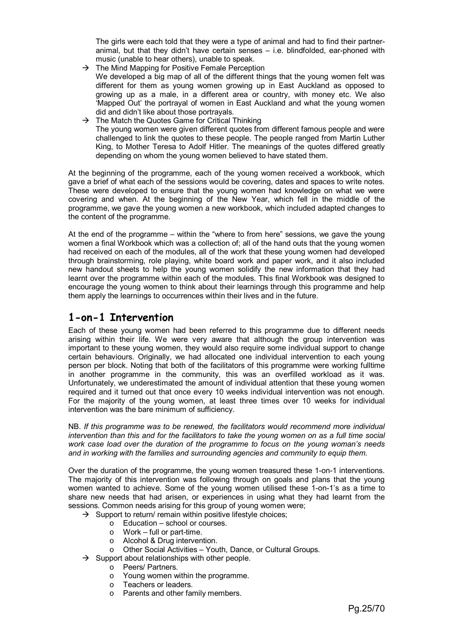The girls were each told that they were a type of animal and had to find their partneranimal, but that they didn't have certain senses – i.e. blindfolded, ear-phoned with music (unable to hear others), unable to speak.

- $\rightarrow$  The Mind Mapping for Positive Female Perception We developed a big map of all of the different things that the young women felt was different for them as young women growing up in East Auckland as opposed to growing up as a male, in a different area or country, with money etc. We also 'Mapped Out' the portrayal of women in East Auckland and what the young women did and didn't like about those portrayals.
- $\rightarrow$  The Match the Quotes Game for Critical Thinking The young women were given different quotes from different famous people and were challenged to link the quotes to these people. The people ranged from Martin Luther King, to Mother Teresa to Adolf Hitler. The meanings of the quotes differed greatly depending on whom the young women believed to have stated them.

At the beginning of the programme, each of the young women received a workbook, which gave a brief of what each of the sessions would be covering, dates and spaces to write notes. These were developed to ensure that the young women had knowledge on what we were covering and when. At the beginning of the New Year, which fell in the middle of the programme, we gave the young women a new workbook, which included adapted changes to the content of the programme.

At the end of the programme – within the "where to from here" sessions, we gave the young women a final Workbook which was a collection of; all of the hand outs that the young women had received on each of the modules, all of the work that these young women had developed through brainstorming, role playing, white board work and paper work, and it also included new handout sheets to help the young women solidify the new information that they had learnt over the programme within each of the modules. This final Workbook was designed to encourage the young women to think about their learnings through this programme and help them apply the learnings to occurrences within their lives and in the future.

# **1-on-1 Intervention**

Each of these young women had been referred to this programme due to different needs arising within their life. We were very aware that although the group intervention was important to these young women, they would also require some individual support to change certain behaviours. Originally, we had allocated one individual intervention to each young person per block. Noting that both of the facilitators of this programme were working fulltime in another programme in the community, this was an overfilled workload as it was. Unfortunately, we underestimated the amount of individual attention that these young women required and it turned out that once every 10 weeks individual intervention was not enough. For the majority of the young women, at least three times over 10 weeks for individual intervention was the bare minimum of sufficiency.

NB. *If this programme was to be renewed, the facilitators would recommend more individual intervention than this and for the facilitators to take the young women on as a full time social work case load over the duration of the programme to focus on the young woman's needs and in working with the families and surrounding agencies and community to equip them.*

Over the duration of the programme, the young women treasured these 1-on-1 interventions. The majority of this intervention was following through on goals and plans that the young women wanted to achieve. Some of the young women utilised these 1-on-1's as a time to share new needs that had arisen, or experiences in using what they had learnt from the sessions. Common needs arising for this group of young women were;

- $\rightarrow$  Support to return/ remain within positive lifestyle choices;
	- o Education school or courses.
	- o Work full or part-time.
	- o Alcohol & Drug intervention.
	- o Other Social Activities Youth, Dance, or Cultural Groups.
- $\rightarrow$  Support about relationships with other people.
	- o Peers/ Partners.
	- o Young women within the programme.
	- o Teachers or leaders.
	- o Parents and other family members.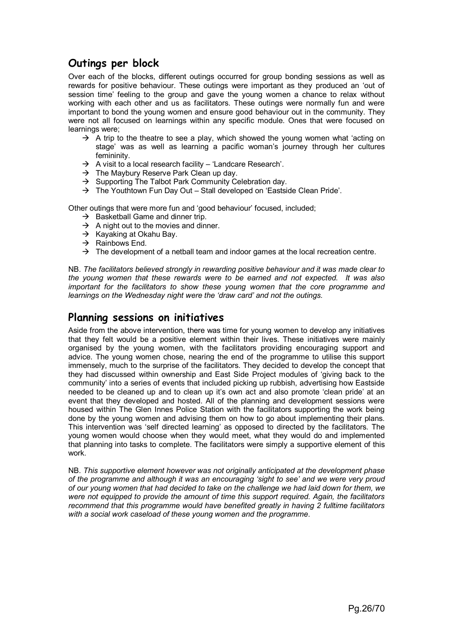# **Outings per block**

Over each of the blocks, different outings occurred for group bonding sessions as well as rewards for positive behaviour. These outings were important as they produced an 'out of session time' feeling to the group and gave the young women a chance to relax without working with each other and us as facilitators. These outings were normally fun and were important to bond the young women and ensure good behaviour out in the community. They were not all focused on learnings within any specific module. Ones that were focused on learnings were;

- $\rightarrow$  A trip to the theatre to see a play, which showed the young women what 'acting on stage' was as well as learning a pacific woman's journey through her cultures femininity.
- $\rightarrow$  A visit to a local research facility 'Landcare Research'.
- $\rightarrow$  The Maybury Reserve Park Clean up day.
- $\rightarrow$  Supporting The Talbot Park Community Celebration day.
- $\rightarrow$  The Youthtown Fun Day Out Stall developed on 'Eastside Clean Pride'.

Other outings that were more fun and 'good behaviour' focused, included;

- $\rightarrow$  Basketball Game and dinner trip.
- $\rightarrow$  A night out to the movies and dinner.
- $\rightarrow$  Kayaking at Okahu Bay.
- $\rightarrow$  Rainbows End.
- $\rightarrow$  The development of a netball team and indoor games at the local recreation centre.

NB. *The facilitators believed strongly in rewarding positive behaviour and it was made clear to the young women that these rewards were to be earned and not expected. It was also important for the facilitators to show these young women that the core programme and learnings on the Wednesday night were the 'draw card' and not the outings.* 

# **Planning sessions on initiatives**

Aside from the above intervention, there was time for young women to develop any initiatives that they felt would be a positive element within their lives. These initiatives were mainly organised by the young women, with the facilitators providing encouraging support and advice. The young women chose, nearing the end of the programme to utilise this support immensely, much to the surprise of the facilitators. They decided to develop the concept that they had discussed within ownership and East Side Project modules of 'giving back to the community' into a series of events that included picking up rubbish, advertising how Eastside needed to be cleaned up and to clean up it's own act and also promote 'clean pride' at an event that they developed and hosted. All of the planning and development sessions were housed within The Glen Innes Police Station with the facilitators supporting the work being done by the young women and advising them on how to go about implementing their plans. This intervention was 'self directed learning' as opposed to directed by the facilitators. The young women would choose when they would meet, what they would do and implemented that planning into tasks to complete. The facilitators were simply a supportive element of this work.

NB. *This supportive element however was not originally anticipated at the development phase of the programme and although it was an encouraging 'sight to see' and we were very proud of our young women that had decided to take on the challenge we had laid down for them, we were not equipped to provide the amount of time this support required. Again, the facilitators recommend that this programme would have benefited greatly in having 2 fulltime facilitators with a social work caseload of these young women and the programme*.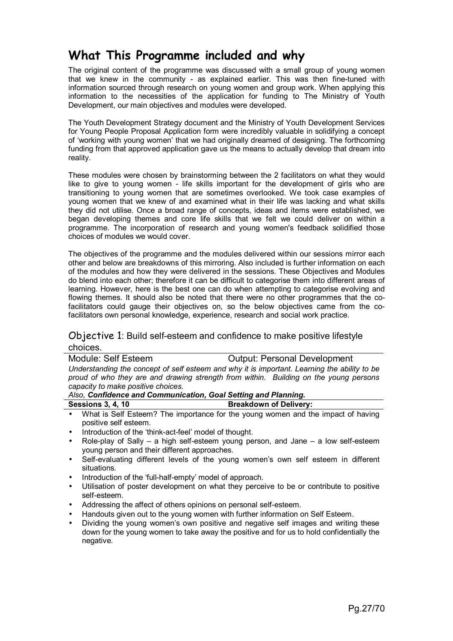# **What This Programme included and why**

The original content of the programme was discussed with a small group of young women that we knew in the community - as explained earlier. This was then fine-tuned with information sourced through research on young women and group work. When applying this information to the necessities of the application for funding to The Ministry of Youth Development, our main objectives and modules were developed.

The Youth Development Strategy document and the Ministry of Youth Development Services for Young People Proposal Application form were incredibly valuable in solidifying a concept of 'working with young women' that we had originally dreamed of designing. The forthcoming funding from that approved application gave us the means to actually develop that dream into reality.

These modules were chosen by brainstorming between the 2 facilitators on what they would like to give to young women - life skills important for the development of girls who are transitioning to young women that are sometimes overlooked. We took case examples of young women that we knew of and examined what in their life was lacking and what skills they did not utilise. Once a broad range of concepts, ideas and items were established, we began developing themes and core life skills that we felt we could deliver on within a programme. The incorporation of research and young women's feedback solidified those choices of modules we would cover.

The objectives of the programme and the modules delivered within our sessions mirror each other and below are breakdowns of this mirroring. Also included is further information on each of the modules and how they were delivered in the sessions. These Objectives and Modules do blend into each other; therefore it can be difficult to categorise them into different areas of learning. However, here is the best one can do when attempting to categorise evolving and flowing themes. It should also be noted that there were no other programmes that the cofacilitators could gauge their objectives on, so the below objectives came from the cofacilitators own personal knowledge, experience, research and social work practice.

# Objective 1: Build self-esteem and confidence to make positive lifestyle choices.

| Module: Self Esteem                                                                          | <b>Output: Personal Development</b> |
|----------------------------------------------------------------------------------------------|-------------------------------------|
| Understanding the concept of self esteem and why it is important. Learning the ability to be |                                     |
| proud of who they are and drawing strength from within. Building on the young persons        |                                     |
| capacity to make positive choices.                                                           |                                     |

#### *Also, Confidence and Communication, Goal Setting and Planning.*

#### **Breakdown of Delivery:**

- What is Self Esteem? The importance for the young women and the impact of having positive self esteem.
- Introduction of the 'think-act-feel' model of thought.
- Role-play of Sally a high self-esteem young person, and Jane a low self-esteem young person and their different approaches.
- Self-evaluating different levels of the young women's own self esteem in different situations.
- Introduction of the 'full-half-empty' model of approach.
- Utilisation of poster development on what they perceive to be or contribute to positive self-esteem.
- Addressing the affect of others opinions on personal self-esteem.
- Handouts given out to the young women with further information on Self Esteem.
- Dividing the young women's own positive and negative self images and writing these down for the young women to take away the positive and for us to hold confidentially the negative.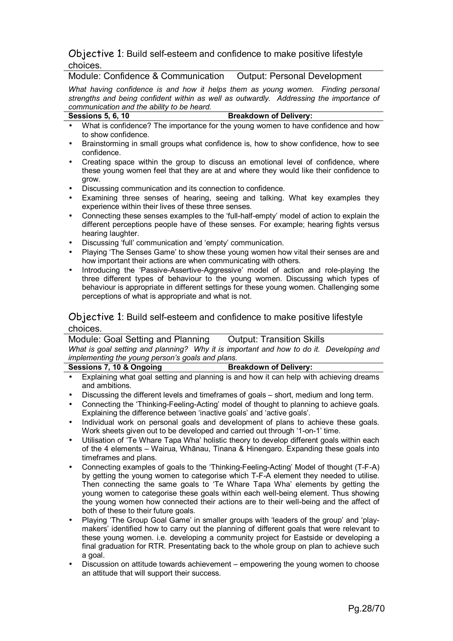# Objective 1: Build self-esteem and confidence to make positive lifestyle choices.

Module: Confidence & Communication Output: Personal Development

*What having confidence is and how it helps them as young women. Finding personal strengths and being confident within as well as outwardly. Addressing the importance of communication and the ability to be heard.*

# Sessions 5, 6, 10 **Breakdown of Delivery:**

- What is confidence? The importance for the young women to have confidence and how to show confidence.
- Brainstorming in small groups what confidence is, how to show confidence, how to see confidence.
- Creating space within the group to discuss an emotional level of confidence, where these young women feel that they are at and where they would like their confidence to grow.
- Discussing communication and its connection to confidence.
- Examining three senses of hearing, seeing and talking. What key examples they experience within their lives of these three senses.
- Connecting these senses examples to the 'full-half-empty' model of action to explain the different perceptions people have of these senses. For example; hearing fights versus hearing laughter.
- Discussing 'full' communication and 'empty' communication.
- Playing 'The Senses Game' to show these young women how vital their senses are and how important their actions are when communicating with others.
- Introducing the 'Passive-Assertive-Aggressive' model of action and role-playing the three different types of behaviour to the young women. Discussing which types of behaviour is appropriate in different settings for these young women. Challenging some perceptions of what is appropriate and what is not.

# Objective 1: Build self-esteem and confidence to make positive lifestyle choices.

Module: Goal Setting and Planning Output: Transition Skills *What is goal setting and planning? Why it is important and how to do it. Developing and implementing the young person's goals and plans.*

| Sessions 7, 10 & Ongoing |  | <b>Breakdown of Delivery:</b> |  |  |
|--------------------------|--|-------------------------------|--|--|
|                          |  |                               |  |  |

- Explaining what goal setting and planning is and how it can help with achieving dreams and ambitions.
- Discussing the different levels and timeframes of goals short, medium and long term.
- Connecting the 'Thinking-Feeling-Acting' model of thought to planning to achieve goals. Explaining the difference between 'inactive goals' and 'active goals'.
- Individual work on personal goals and development of plans to achieve these goals. Work sheets given out to be developed and carried out through '1-on-1' time.
- Utilisation of 'Te Whare Tapa Wha' holistic theory to develop different goals within each of the 4 elements – Wairua, Whānau, Tinana & Hinengaro. Expanding these goals into timeframes and plans.
- Connecting examples of goals to the 'Thinking-Feeling-Acting' Model of thought (T-F-A) by getting the young women to categorise which T-F-A element they needed to utilise. Then connecting the same goals to 'Te Whare Tapa Wha' elements by getting the young women to categorise these goals within each well-being element. Thus showing the young women how connected their actions are to their well-being and the affect of both of these to their future goals.
- Playing 'The Group Goal Game' in smaller groups with 'leaders of the group' and 'playmakers' identified how to carry out the planning of different goals that were relevant to these young women. i.e. developing a community project for Eastside or developing a final graduation for RTR. Presentating back to the whole group on plan to achieve such a goal.
- Discussion on attitude towards achievement empowering the young women to choose an attitude that will support their success.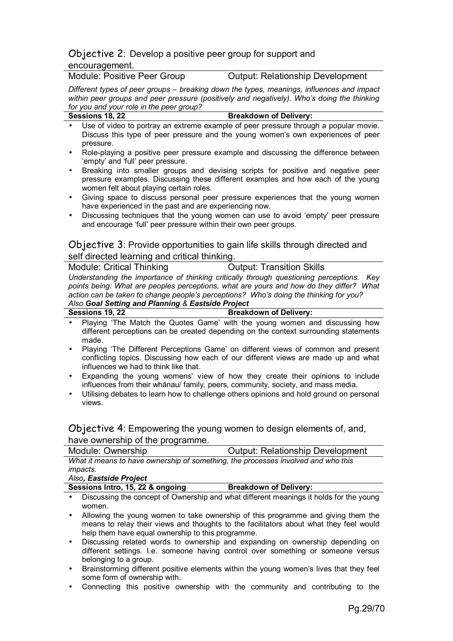# Objective 2: Develop a positive peer group for support and encouragement.

Module: Positive Peer Group **Culture**: Relationship Development

*Different types of peer groups – breaking down the types, meanings, influences and impact within peer groups and peer pressure (positively and negatively). Who's doing the thinking for you and your role in the peer group?* **Sessions 18, 22 Breakdown of Delivery:** 

|           | • Use of video to portray an extreme example of peer pressure through a popular movie. |
|-----------|----------------------------------------------------------------------------------------|
|           | Discuss this type of peer pressure and the young women's own experiences of peer       |
| pressure. |                                                                                        |

- Role-playing a positive peer pressure example and discussing the difference between 'empty' and 'full' peer pressure.
- Breaking into smaller groups and devising scripts for positive and negative peer pressure examples. Discussing these different examples and how each of the young women felt about playing certain roles.
- Giving space to discuss personal peer pressure experiences that the young women have experienced in the past and are experiencing now.
- Discussing techniques that the young women can use to avoid 'empty' peer pressure and encourage 'full' peer pressure within their own peer groups.

# Objective 3: Provide opportunities to gain life skills through directed and self directed learning and critical thinking.

| Module: Critical Thinking                         | <b>Output: Transition Skills</b>                                                         |
|---------------------------------------------------|------------------------------------------------------------------------------------------|
|                                                   | Understanding the importance of thinking critically through questioning perceptions. Key |
|                                                   | points being: What are peoples perceptions, what are yours and how do they differ? What  |
|                                                   | action can be taken to change people's perceptions? Who's doing the thinking for you?    |
| Also Goal Setting and Planning & Eastside Project |                                                                                          |
| Sessions 19, 22                                   | <b>Breakdown of Delivery:</b>                                                            |

- Playing 'The Match the Quotes Game' with the young women and discussing how different perceptions can be created depending on the context surrounding statements made.
- Playing 'The Different Perceptions Game' on different views of common and present conflicting topics. Discussing how each of our different views are made up and what influences we had to think like that.
- Expanding the young womens' view of how they create their opinions to include influences from their whānau/ family, peers, community, society, and mass media.
- Utilising debates to learn how to challenge others opinions and hold ground on personal views.

Objective 4: Empowering the young women to design elements of, and, have ownership of the programme.

| Module: Ownership                                                                 | <b>Output: Relationship Development</b> |
|-----------------------------------------------------------------------------------|-----------------------------------------|
| What it means to have ownership of something, the processes involved and who this |                                         |
| <i>impacts.</i>                                                                   |                                         |
| Also, Eastside Project                                                            |                                         |

| Sessions Intro, 15, 22 & ongoing | <b>Breakdown of Delivery:</b>                                                          |
|----------------------------------|----------------------------------------------------------------------------------------|
|                                  | Discussing the concent of Ownership and what different meanings it holds for the voung |

- Discussing the concept of Ownership and what different meanings it holds for the young women.
- Allowing the young women to take ownership of this programme and giving them the means to relay their views and thoughts to the facilitators about what they feel would help them have equal ownership to this programme.
- Discussing related words to ownership and expanding on ownership depending on different settings. I.e. someone having control over something or someone versus belonging to a group.
- Brainstorming different positive elements within the young women's lives that they feel some form of ownership with.
- Connecting this positive ownership with the community and contributing to the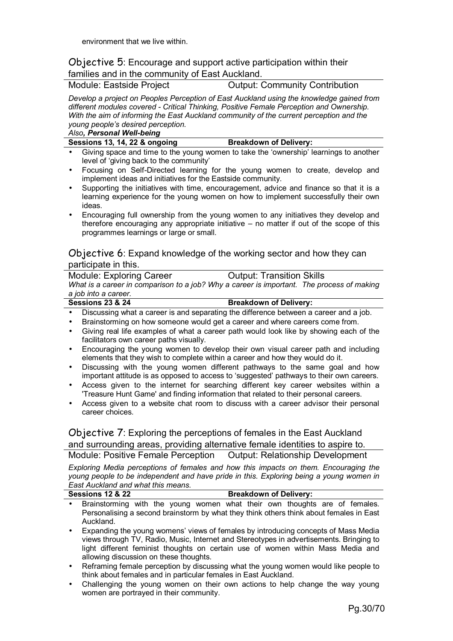# Objective 5: Encourage and support active participation within their families and in the community of East Auckland.

Module: Eastside Project **Contribution** Output: Community Contribution

*Develop a project on Peoples Perception of East Auckland using the knowledge gained from different modules covered - Critical Thinking, Positive Female Perception and Ownership. With the aim of informing the East Auckland community of the current perception and the young people's desired perception.* 

*Also, Personal Well-being*

Sessions 13, 14, 22 & ongoing **Breakdown of Delivery:** 

- Giving space and time to the young women to take the 'ownership' learnings to another level of 'giving back to the community'
- Focusing on Self-Directed learning for the young women to create, develop and implement ideas and initiatives for the Eastside community.
- Supporting the initiatives with time, encouragement, advice and finance so that it is a learning experience for the young women on how to implement successfully their own ideas.
- Encouraging full ownership from the young women to any initiatives they develop and therefore encouraging any appropriate initiative – no matter if out of the scope of this programmes learnings or large or small.

# Objective 6: Expand knowledge of the working sector and how they can participate in this.

| <b>Module: Exploring Career</b> |                                                                                           | <b>Output: Transition Skills</b> |  |
|---------------------------------|-------------------------------------------------------------------------------------------|----------------------------------|--|
|                                 | What is a career in comparison to a job? Why a career is important. The process of making |                                  |  |
| a job into a career.            |                                                                                           |                                  |  |
| <b>Sessions 23 &amp; 24</b>     |                                                                                           | <b>Breakdown of Delivery:</b>    |  |

- Discussing what a career is and separating the difference between a career and a job.
- Brainstorming on how someone would get a career and where careers come from.
- Giving real life examples of what a career path would look like by showing each of the facilitators own career paths visually.
- Encouraging the young women to develop their own visual career path and including elements that they wish to complete within a career and how they would do it.
- Discussing with the young women different pathways to the same goal and how important attitude is as opposed to access to 'suggested' pathways to their own careers.
- Access given to the internet for searching different key career websites within a 'Treasure Hunt Game' and finding information that related to their personal careers.
- Access given to a website chat room to discuss with a career advisor their personal career choices.

Objective 7: Exploring the perceptions of females in the East Auckland and surrounding areas, providing alternative female identities to aspire to. Module: Positive Female Perception Output: Relationship Development

*Exploring Media perceptions of females and how this impacts on them. Encouraging the young people to be independent and have pride in this. Exploring being a young women in East Auckland and what this means.*

| Sessions 12 & 22 |  |  |  | <b>Breakdown of Delivery:</b> |  |  |  |
|------------------|--|--|--|-------------------------------|--|--|--|
|                  |  |  |  |                               |  |  |  |

- Brainstorming with the young women what their own thoughts are of females. Personalising a second brainstorm by what they think others think about females in East Auckland.
- Expanding the young womens' views of females by introducing concepts of Mass Media views through TV, Radio, Music, Internet and Stereotypes in advertisements. Bringing to light different feminist thoughts on certain use of women within Mass Media and allowing discussion on these thoughts.
- Reframing female perception by discussing what the young women would like people to think about females and in particular females in East Auckland.
- Challenging the young women on their own actions to help change the way young women are portrayed in their community.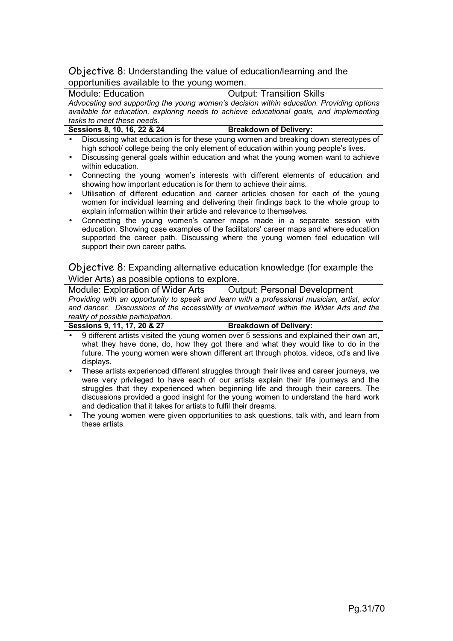# Objective 8: Understanding the value of education/learning and the opportunities available to the young women.

Module: Education Output: Transition Skills *Advocating and supporting the young women's decision within education. Providing options available for education, exploring needs to achieve educational goals, and implementing tasks to meet these needs.*

| Sessions 8, 10, 16, 22 & 24 | <b>Breakdown of Delivery:</b>                                                         |  |
|-----------------------------|---------------------------------------------------------------------------------------|--|
|                             | Discussing what education is for these young women and breaking down stereotypes of   |  |
|                             | high school/ college being the only element of education within young people's lives. |  |

- Discussing general goals within education and what the young women want to achieve within education.
- Connecting the young women's interests with different elements of education and showing how important education is for them to achieve their aims.
- Utilisation of different education and career articles chosen for each of the young women for individual learning and delivering their findings back to the whole group to explain information within their article and relevance to themselves.
- Connecting the young women's career maps made in a separate session with education. Showing case examples of the facilitators' career maps and where education supported the career path. Discussing where the young women feel education will support their own career paths.

Objective 8: Expanding alternative education knowledge (for example the Wider Arts) as possible options to explore.

Module: Exploration of Wider Arts Output: Personal Development *Providing with an opportunity to speak and learn with a professional musician, artist, actor and dancer. Discussions of the accessibility of involvement within the Wider Arts and the reality of possible participation.*

**Sessions 9, 11, 17, 20 & 27 Breakdown of Delivery:**

- 9 different artists visited the young women over 5 sessions and explained their own art, what they have done, do, how they got there and what they would like to do in the future. The young women were shown different art through photos, videos, cd's and live displays.
- These artists experienced different struggles through their lives and career journeys, we were very privileged to have each of our artists explain their life journeys and the struggles that they experienced when beginning life and through their careers. The discussions provided a good insight for the young women to understand the hard work and dedication that it takes for artists to fulfil their dreams.
- The young women were given opportunities to ask questions, talk with, and learn from these artists.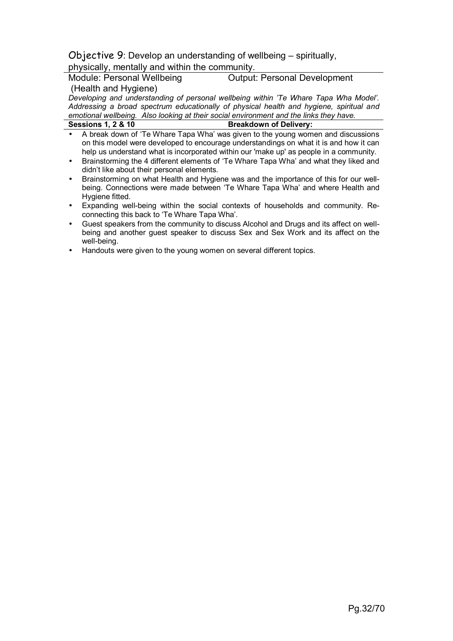# Objective 9: Develop an understanding of wellbeing – spiritually,

# physically, mentally and within the community.

Module: Personal Wellbeing (Health and Hygiene) Output: Personal Development

*Developing and understanding of personal wellbeing within 'Te Whare Tapa Wha Model'. Addressing a broad spectrum educationally of physical health and hygiene, spiritual and emotional wellbeing. Also looking at their social environment and the links they have.* **Breakdown of Delivery:** 

| <b>Sessions 1, 2 &amp; 10</b> |  |
|-------------------------------|--|
|-------------------------------|--|

- A break down of 'Te Whare Tapa Wha' was given to the young women and discussions on this model were developed to encourage understandings on what it is and how it can help us understand what is incorporated within our 'make up' as people in a community.
- Brainstorming the 4 different elements of 'Te Whare Tapa Wha' and what they liked and didn't like about their personal elements.
- Brainstorming on what Health and Hygiene was and the importance of this for our wellbeing. Connections were made between 'Te Whare Tapa Wha' and where Health and Hygiene fitted.
- Expanding well-being within the social contexts of households and community. Reconnecting this back to 'Te Whare Tapa Wha'.
- Guest speakers from the community to discuss Alcohol and Drugs and its affect on wellbeing and another guest speaker to discuss Sex and Sex Work and its affect on the well-being.
- Handouts were given to the young women on several different topics.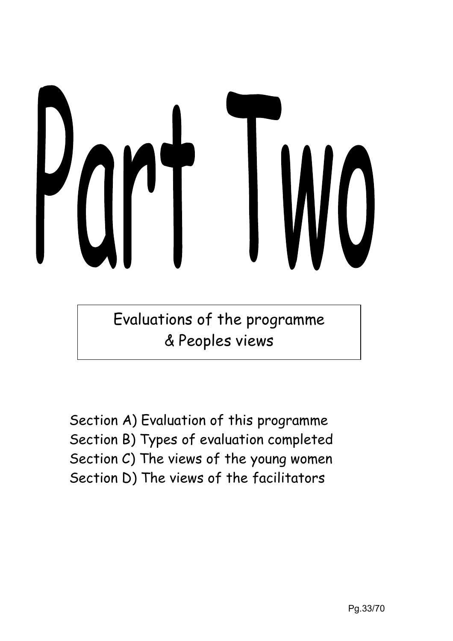

Evaluations of the programme & Peoples views

Section A) Evaluation of this programme Section B) Types of evaluation completed Section C) The views of the young women Section D) The views of the facilitators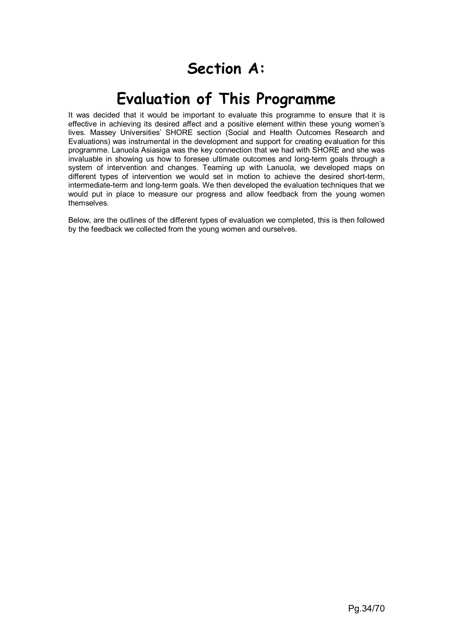# **Section A:**

# **Evaluation of This Programme**

It was decided that it would be important to evaluate this programme to ensure that it is effective in achieving its desired affect and a positive element within these young women's lives. Massey Universities' SHORE section (Social and Health Outcomes Research and Evaluations) was instrumental in the development and support for creating evaluation for this programme. Lanuola Asiasiga was the key connection that we had with SHORE and she was invaluable in showing us how to foresee ultimate outcomes and long-term goals through a system of intervention and changes. Teaming up with Lanuola, we developed maps on different types of intervention we would set in motion to achieve the desired short-term, intermediate-term and long-term goals. We then developed the evaluation techniques that we would put in place to measure our progress and allow feedback from the young women themselves.

Below, are the outlines of the different types of evaluation we completed, this is then followed by the feedback we collected from the young women and ourselves.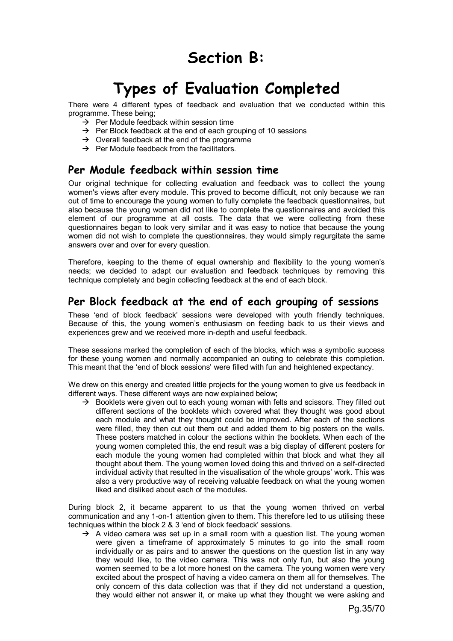# **Section B:**

# **Types of Evaluation Completed**

There were 4 different types of feedback and evaluation that we conducted within this programme. These being;

- $\rightarrow$  Per Module feedback within session time
- $\rightarrow$  Per Block feedback at the end of each grouping of 10 sessions
- $\rightarrow$  Overall feedback at the end of the programme
- $\rightarrow$  Per Module feedback from the facilitators.

# **Per Module feedback within session time**

Our original technique for collecting evaluation and feedback was to collect the young women's views after every module. This proved to become difficult, not only because we ran out of time to encourage the young women to fully complete the feedback questionnaires, but also because the young women did not like to complete the questionnaires and avoided this element of our programme at all costs. The data that we were collecting from these questionnaires began to look very similar and it was easy to notice that because the young women did not wish to complete the questionnaires, they would simply regurgitate the same answers over and over for every question.

Therefore, keeping to the theme of equal ownership and flexibility to the young women's needs; we decided to adapt our evaluation and feedback techniques by removing this technique completely and begin collecting feedback at the end of each block.

# **Per Block feedback at the end of each grouping of sessions**

These 'end of block feedback' sessions were developed with youth friendly techniques. Because of this, the young women's enthusiasm on feeding back to us their views and experiences grew and we received more in-depth and useful feedback.

These sessions marked the completion of each of the blocks, which was a symbolic success for these young women and normally accompanied an outing to celebrate this completion. This meant that the 'end of block sessions' were filled with fun and heightened expectancy.

We drew on this energy and created little projects for the young women to give us feedback in different ways. These different ways are now explained below;

 $\rightarrow$  Booklets were given out to each young woman with felts and scissors. They filled out different sections of the booklets which covered what they thought was good about each module and what they thought could be improved. After each of the sections were filled, they then cut out them out and added them to big posters on the walls. These posters matched in colour the sections within the booklets. When each of the young women completed this, the end result was a big display of different posters for each module the young women had completed within that block and what they all thought about them. The young women loved doing this and thrived on a self-directed individual activity that resulted in the visualisation of the whole groups' work. This was also a very productive way of receiving valuable feedback on what the young women liked and disliked about each of the modules.

During block 2, it became apparent to us that the young women thrived on verbal communication and any 1-on-1 attention given to them. This therefore led to us utilising these techniques within the block 2 & 3 'end of block feedback' sessions.

 $\rightarrow$  A video camera was set up in a small room with a question list. The young women were given a timeframe of approximately 5 minutes to go into the small room individually or as pairs and to answer the questions on the question list in any way they would like, to the video camera. This was not only fun, but also the young women seemed to be a lot more honest on the camera. The young women were very excited about the prospect of having a video camera on them all for themselves. The only concern of this data collection was that if they did not understand a question, they would either not answer it, or make up what they thought we were asking and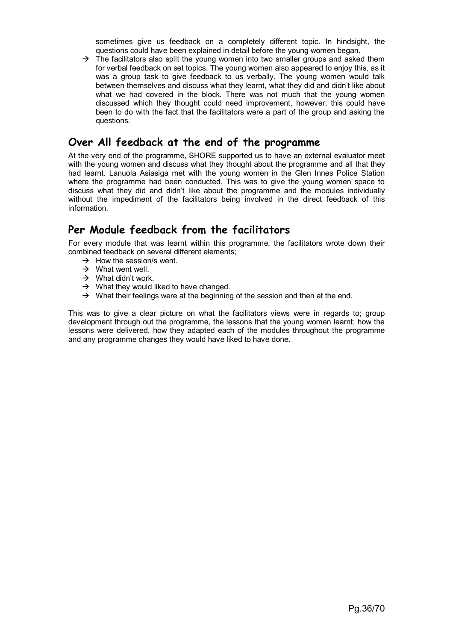sometimes give us feedback on a completely different topic. In hindsight, the questions could have been explained in detail before the young women began.

 $\rightarrow$  The facilitators also split the young women into two smaller groups and asked them for verbal feedback on set topics. The young women also appeared to enjoy this, as it was a group task to give feedback to us verbally. The young women would talk between themselves and discuss what they learnt, what they did and didn't like about what we had covered in the block. There was not much that the young women discussed which they thought could need improvement, however; this could have been to do with the fact that the facilitators were a part of the group and asking the questions.

# **Over All feedback at the end of the programme**

At the very end of the programme, SHORE supported us to have an external evaluator meet with the young women and discuss what they thought about the programme and all that they had learnt. Lanuola Asiasiga met with the young women in the Glen Innes Police Station where the programme had been conducted. This was to give the young women space to discuss what they did and didn't like about the programme and the modules individually without the impediment of the facilitators being involved in the direct feedback of this information.

# **Per Module feedback from the facilitators**

For every module that was learnt within this programme, the facilitators wrote down their combined feedback on several different elements;

- $\rightarrow$  How the session/s went.
- $\rightarrow$  What went well.
- $\rightarrow$  What didn't work.
- $\rightarrow$  What they would liked to have changed.
- $\rightarrow$  What their feelings were at the beginning of the session and then at the end.

This was to give a clear picture on what the facilitators views were in regards to; group development through out the programme, the lessons that the young women learnt; how the lessons were delivered, how they adapted each of the modules throughout the programme and any programme changes they would have liked to have done.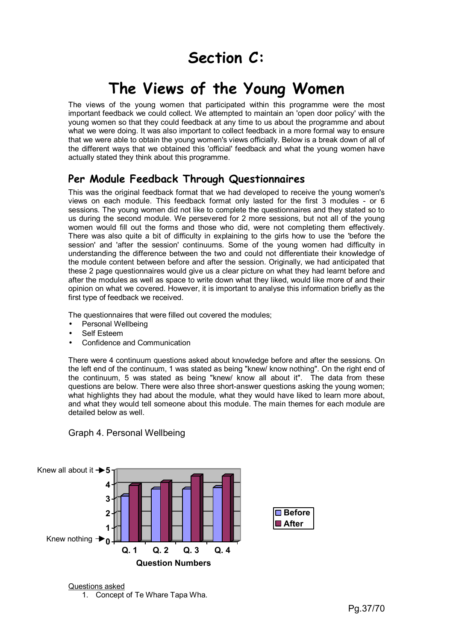# **Section C:**

# **The Views of the Young Women**

The views of the young women that participated within this programme were the most important feedback we could collect. We attempted to maintain an 'open door policy' with the young women so that they could feedback at any time to us about the programme and about what we were doing. It was also important to collect feedback in a more formal way to ensure that we were able to obtain the young women's views officially. Below is a break down of all of the different ways that we obtained this 'official' feedback and what the young women have actually stated they think about this programme.

# **Per Module Feedback Through Questionnaires**

This was the original feedback format that we had developed to receive the young women's views on each module. This feedback format only lasted for the first 3 modules - or 6 sessions. The young women did not like to complete the questionnaires and they stated so to us during the second module. We persevered for 2 more sessions, but not all of the young women would fill out the forms and those who did, were not completing them effectively. There was also quite a bit of difficulty in explaining to the girls how to use the 'before the session' and 'after the session' continuums. Some of the young women had difficulty in understanding the difference between the two and could not differentiate their knowledge of the module content between before and after the session. Originally, we had anticipated that these 2 page questionnaires would give us a clear picture on what they had learnt before and after the modules as well as space to write down what they liked, would like more of and their opinion on what we covered. However, it is important to analyse this information briefly as the first type of feedback we received.

The questionnaires that were filled out covered the modules;

- Personal Wellbeing
- Self Esteem
- Confidence and Communication

There were 4 continuum questions asked about knowledge before and after the sessions. On the left end of the continuum, 1 was stated as being "knew/ know nothing". On the right end of the continuum, 5 was stated as being "knew/ know all about it". The data from these questions are below. There were also three short-answer questions asking the young women; what highlights they had about the module, what they would have liked to learn more about, and what they would tell someone about this module. The main themes for each module are detailed below as well.



Graph 4. Personal Wellbeing

Questions asked 1. Concept of Te Whare Tapa Wha.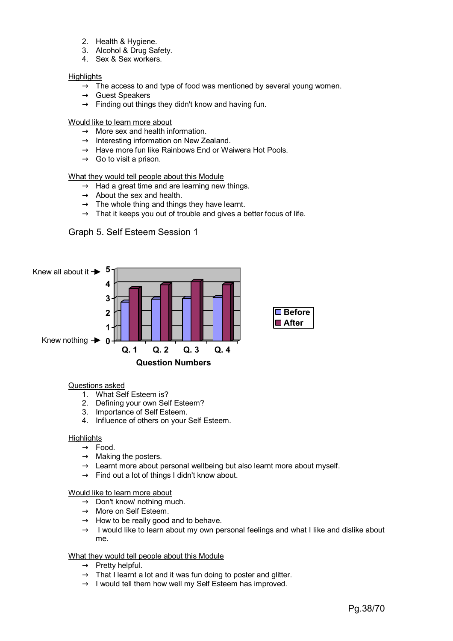- 2. Health & Hygiene.
- 3. Alcohol & Drug Safety.
- 4. Sex & Sex workers.

#### **Highlights**

- $\rightarrow$  The access to and type of food was mentioned by several young women.
- $\rightarrow$  Guest Speakers
- $\rightarrow$  Finding out things they didn't know and having fun.

#### Would like to learn more about

- $\rightarrow$  More sex and health information.
- $\rightarrow$  Interesting information on New Zealand.
- $\rightarrow$  Have more fun like Rainbows End or Waiwera Hot Pools.
- $\rightarrow$  Go to visit a prison.

#### What they would tell people about this Module

- $\rightarrow$  Had a great time and are learning new things.
- $\rightarrow$  About the sex and health.
- $\rightarrow$  The whole thing and things they have learnt.
- $\rightarrow$  That it keeps you out of trouble and gives a better focus of life.

# Graph 5. Self Esteem Session 1



#### Questions asked

- 1. What Self Esteem is?
- 2. Defining your own Self Esteem?
- 3. Importance of Self Esteem.
- 4. Influence of others on your Self Esteem.

#### **Highlights**

- $\rightarrow$  Food.
- $\rightarrow$  Making the posters.
- $\rightarrow$  Learnt more about personal wellbeing but also learnt more about myself.
- $\rightarrow$  Find out a lot of things I didn't know about.

#### Would like to learn more about

- $\rightarrow$  Don't know/ nothing much.
- $\rightarrow$  More on Self Esteem.
- $\rightarrow$  How to be really good and to behave.
- $\rightarrow$  I would like to learn about my own personal feelings and what I like and dislike about me.

#### What they would tell people about this Module

- $\rightarrow$  Pretty helpful.
- $\rightarrow$  That I learnt a lot and it was fun doing to poster and glitter.
- $\rightarrow$  I would tell them how well my Self Esteem has improved.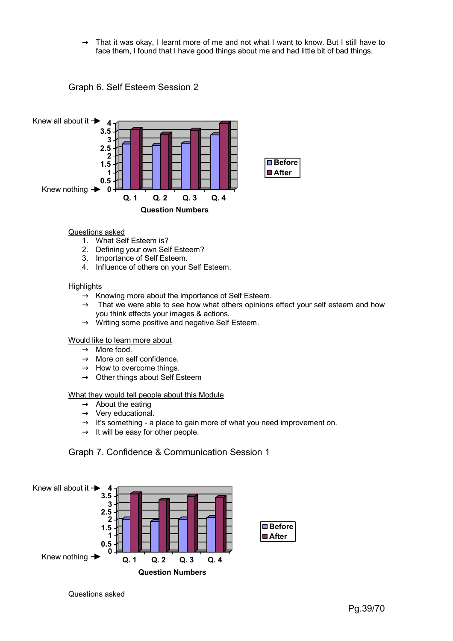$\rightarrow$  That it was okay, I learnt more of me and not what I want to know. But I still have to face them, I found that I have good things about me and had little bit of bad things.





#### Questions asked

- 1. What Self Esteem is?
- 2. Defining your own Self Esteem?
- 3. Importance of Self Esteem.
- 4. Influence of others on your Self Esteem.

#### **Highlights**

- $\rightarrow$  Knowing more about the importance of Self Esteem.
- $\rightarrow$  That we were able to see how what others opinions effect your self esteem and how you think effects your images & actions.
- $\rightarrow$  Writing some positive and negative Self Esteem.

#### Would like to learn more about

- $\rightarrow$  More food.
- $\rightarrow$  More on self confidence.
- $\rightarrow$  How to overcome things.
- $\rightarrow$  Other things about Self Esteem

#### What they would tell people about this Module

- $\rightarrow$  About the eating
- $\rightarrow$  Very educational.
- $\rightarrow$  It's something a place to gain more of what you need improvement on.
- $\rightarrow$  It will be easy for other people.

# Graph 7. Confidence & Communication Session 1



#### Questions asked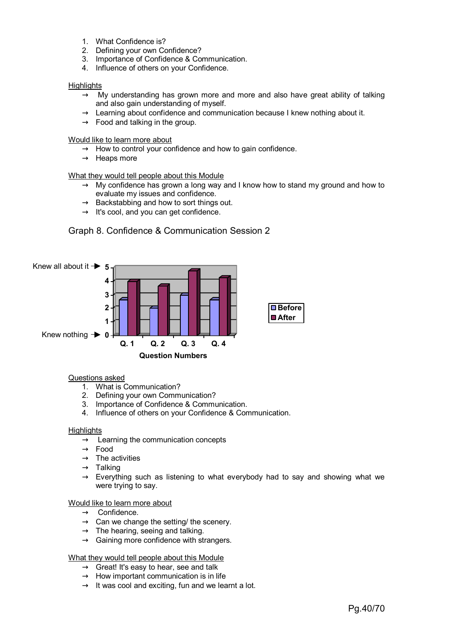- 1. What Confidence is?
- 2. Defining your own Confidence?
- 3. Importance of Confidence & Communication.
- 4. Influence of others on your Confidence.

#### **Highlights**

- $\rightarrow$  My understanding has grown more and more and also have great ability of talking and also gain understanding of myself.
- $\rightarrow$  Learning about confidence and communication because I knew nothing about it.
- $\rightarrow$  Food and talking in the group.

#### Would like to learn more about

- $\rightarrow$  How to control your confidence and how to gain confidence.
- $\rightarrow$  Heaps more

#### What they would tell people about this Module

- $\rightarrow$  My confidence has grown a long way and I know how to stand my ground and how to evaluate my issues and confidence.
- $\rightarrow$  Backstabbing and how to sort things out.
- $\rightarrow$  It's cool, and you can get confidence.

# Graph 8. Confidence & Communication Session 2



#### Questions asked

- 1. What is Communication?
- 2. Defining your own Communication?
- 3. Importance of Confidence & Communication.
- 4. Influence of others on your Confidence & Communication.

#### **Highlights**

- $\rightarrow$  Learning the communication concepts
- $\rightarrow$  Food
- $\rightarrow$  The activities
- $\rightarrow$  Talking
- $\rightarrow$  Everything such as listening to what everybody had to say and showing what we were trying to say.

#### Would like to learn more about

- $\rightarrow$  Confidence.
- $\rightarrow$  Can we change the setting/ the scenery.
- $\rightarrow$  The hearing, seeing and talking.
- $\rightarrow$  Gaining more confidence with strangers.

#### What they would tell people about this Module

- $\rightarrow$  Great! It's easy to hear, see and talk
- $\rightarrow$  How important communication is in life
- $\rightarrow$  It was cool and exciting, fun and we learnt a lot.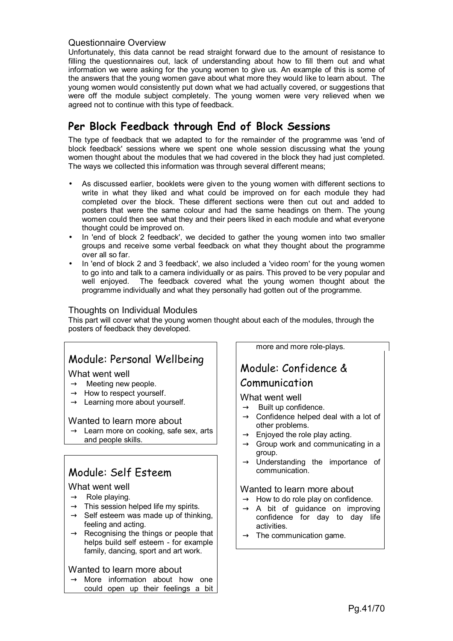# Questionnaire Overview

Unfortunately, this data cannot be read straight forward due to the amount of resistance to filling the questionnaires out, lack of understanding about how to fill them out and what information we were asking for the young women to give us. An example of this is some of the answers that the young women gave about what more they would like to learn about. The young women would consistently put down what we had actually covered, or suggestions that were off the module subject completely. The young women were very relieved when we agreed not to continue with this type of feedback.

# **Per Block Feedback through End of Block Sessions**

The type of feedback that we adapted to for the remainder of the programme was 'end of block feedback' sessions where we spent one whole session discussing what the young women thought about the modules that we had covered in the block they had just completed. The ways we collected this information was through several different means;

- As discussed earlier, booklets were given to the young women with different sections to write in what they liked and what could be improved on for each module they had completed over the block. These different sections were then cut out and added to posters that were the same colour and had the same headings on them. The young women could then see what they and their peers liked in each module and what everyone thought could be improved on.
- In 'end of block 2 feedback', we decided to gather the young women into two smaller groups and receive some verbal feedback on what they thought about the programme over all so far.
- In 'end of block 2 and 3 feedback', we also included a 'video room' for the young women to go into and talk to a camera individually or as pairs. This proved to be very popular and well enjoyed. The feedback covered what the young women thought about the programme individually and what they personally had gotten out of the programme.

# Thoughts on Individual Modules

This part will cover what the young women thought about each of the modules, through the posters of feedback they developed.

# Module: Personal Wellbeing

#### What went well

- $\rightarrow$  Meeting new people.
- $\rightarrow$  How to respect yourself.
- $\rightarrow$  Learning more about yourself.

#### Wanted to learn more about

 $\rightarrow$  Learn more on cooking, safe sex, arts and people skills.

# Module: Self Esteem

# What went well

- $\rightarrow$  Role playing.
- $\rightarrow$  This session helped life my spirits.
- $\rightarrow$  Self esteem was made up of thinking, feeling and acting.
- $\rightarrow$  Recognising the things or people that helps build self esteem - for example family, dancing, sport and art work.

# Wanted to learn more about

 $\rightarrow$  More information about how one could open up their feelings a bit more and more role-plays.

# Module: Confidence & Communication

# What went well

- $\rightarrow$  Built up confidence.
- $\rightarrow$  Confidence helped deal with a lot of other problems.
- $\rightarrow$  Enjoyed the role play acting.
- $\rightarrow$  Group work and communicating in a group.
- $\rightarrow$  Understanding the importance of communication.

# Wanted to learn more about

- $\rightarrow$  How to do role play on confidence.
- $\rightarrow$  A bit of guidance on improving confidence for day to day life activities.
- $\rightarrow$  The communication game.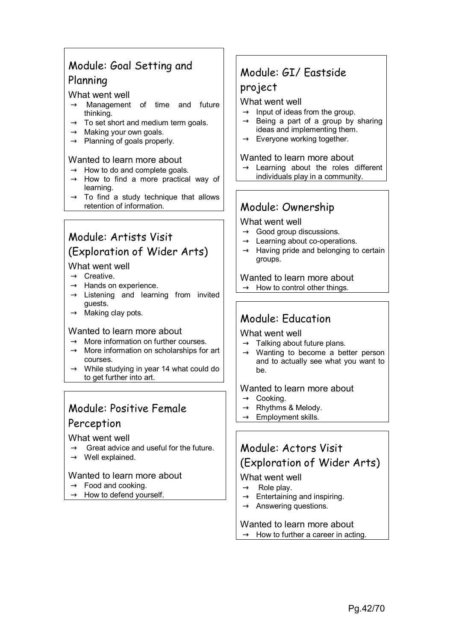# Module: Goal Setting and Planning

# What went well

- $\rightarrow$  Management of time and future thinking.
- $\rightarrow$  To set short and medium term goals.
- $\rightarrow$  Making your own goals.
- $\rightarrow$  Planning of goals properly.

# Wanted to learn more about

- $\rightarrow$  How to do and complete goals.
- $\rightarrow$  How to find a more practical way of learning.
- $\rightarrow$  To find a study technique that allows retention of information.

# Module: Artists Visit (Exploration of Wider Arts)

# What went well

- $\rightarrow$  Creative.
- $\rightarrow$  Hands on experience.
- $\rightarrow$  Listening and learning from invited guests.
- $\rightarrow$  Making clay pots.

# Wanted to learn more about

- $\rightarrow$  More information on further courses.
- $\rightarrow$  More information on scholarships for art courses.
- $\rightarrow$  While studying in year 14 what could do to get further into art.

# Module: Positive Female Perception

# What went well

- $\rightarrow$  Great advice and useful for the future.
- $\rightarrow$  Well explained.

# Wanted to learn more about

- $\rightarrow$  Food and cooking.
- $\rightarrow$  How to defend yourself.

# Module: GI/ Eastside

# project

# What went well

- $\rightarrow$  Input of ideas from the group.
- $\rightarrow$  Being a part of a group by sharing ideas and implementing them.
- $\rightarrow$  Everyone working together.

# Wanted to learn more about

 $\rightarrow$  Learning about the roles different individuals play in a community.

# Module: Ownership

# What went well

- $\rightarrow$  Good group discussions.
- $\rightarrow$  Learning about co-operations.
- $\rightarrow$  Having pride and belonging to certain groups.

Wanted to learn more about  $\rightarrow$  How to control other things.

# Module: Education

# What went well

- $\rightarrow$  Talking about future plans.
- $\rightarrow$  Wanting to become a better person and to actually see what you want to be.

# Wanted to learn more about

- $\rightarrow$  Cooking.
- $\rightarrow$  Rhythms & Melody.
- $\rightarrow$  Employment skills.

# Module: Actors Visit (Exploration of Wider Arts)

# What went well

- $\rightarrow$  Role play.
- $\rightarrow$  Entertaining and inspiring.
- $\rightarrow$  Answering questions.

#### Wanted to learn more about  $\rightarrow$  How to further a career in acting.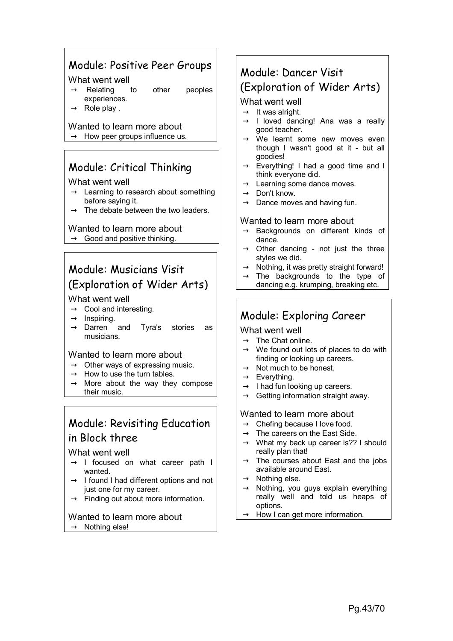# Module: Positive Peer Groups

#### What went well

- $\rightarrow$  Relating to other peoples experiences.
- $\rightarrow$  Role play.

# Wanted to learn more about

 $\rightarrow$  How peer groups influence us.

# Module: Critical Thinking

#### What went well

- $\rightarrow$  Learning to research about something before saying it.
- $\rightarrow$  The debate between the two leaders.

# Wanted to learn more about

 $\rightarrow$  Good and positive thinking.

# Module: Musicians Visit (Exploration of Wider Arts)

# What went well

- $\rightarrow$  Cool and interesting.
- $\rightarrow$  Inspiring.
- $\rightarrow$  Darren and Tyra's stories as musicians.

# Wanted to learn more about

- $\rightarrow$  Other ways of expressing music.
- $\rightarrow$  How to use the turn tables.
- $\rightarrow$  More about the way they compose their music.

# Module: Revisiting Education in Block three

# What went well

- $\rightarrow$  I focused on what career path I wanted.
- $\rightarrow$  I found I had different options and not just one for my career.
- $\rightarrow$  Finding out about more information.

#### Wanted to learn more about  $\rightarrow$  Nothing else!

# Module: Dancer Visit (Exploration of Wider Arts)

# What went well

- $\rightarrow$  It was alright.
- $\rightarrow$  I loved dancing! Ana was a really good teacher.
- $\rightarrow$  We learnt some new moves even though I wasn't good at it - but all goodies!
- $\rightarrow$  Everything! I had a good time and I think everyone did.
- $\rightarrow$  Learning some dance moves.
- $\rightarrow$  Don't know.
- $\rightarrow$  Dance moves and having fun.

# Wanted to learn more about

- $\rightarrow$  Backgrounds on different kinds of dance.
- $\rightarrow$  Other dancing not just the three styles we did.
- $\rightarrow$  Nothing, it was pretty straight forward!
- $\rightarrow$  The backgrounds to the type of
- dancing e.g. krumping, breaking etc.

# Module: Exploring Career

# What went well

- $\rightarrow$  The Chat online.
- $\rightarrow$  We found out lots of places to do with finding or looking up careers.
- $\rightarrow$  Not much to be honest.
- $\rightarrow$  Everything.
- $\rightarrow$  I had fun looking up careers.
- $\rightarrow$  Getting information straight away.

# Wanted to learn more about

- $\rightarrow$  Chefing because I love food.
- $\rightarrow$  The careers on the East Side.
- $\rightarrow$  What my back up career is?? I should really plan that!
- $\rightarrow$  The courses about East and the jobs available around East.
- $\rightarrow$  Nothing else.
- $\rightarrow$  Nothing, you guys explain everything really well and told us heaps of options.
- $\rightarrow$  How I can get more information.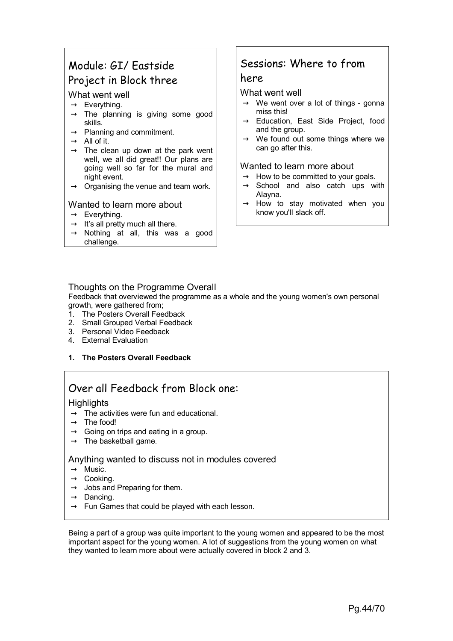# Module: GI/ Eastside Project in Block three

# What went well

- $\rightarrow$  Everything.
- $\rightarrow$  The planning is giving some good skills.
- $\rightarrow$  Planning and commitment.
- $\rightarrow$  All of it.
- $\rightarrow$  The clean up down at the park went well, we all did great!! Our plans are going well so far for the mural and night event.
- $\rightarrow$  Organising the venue and team work.

# Wanted to learn more about

- $\rightarrow$  Everything.
- $\rightarrow$  It's all pretty much all there.
- $\rightarrow$  Nothing at all, this was a good challenge.

# Sessions: Where to from

# here

# What went well

- $\rightarrow$  We went over a lot of things gonna miss this!
- $\rightarrow$  Education, East Side Project, food and the group.
- $\rightarrow$  We found out some things where we can go after this.

# Wanted to learn more about

- $\rightarrow$  How to be committed to your goals.
- $\rightarrow$  School and also catch ups with Alayna.
- $\rightarrow$  How to stay motivated when you know you'll slack off.

# Thoughts on the Programme Overall

Feedback that overviewed the programme as a whole and the young women's own personal growth, were gathered from;

- 1. The Posters Overall Feedback
- 2. Small Grouped Verbal Feedback
- 3. Personal Video Feedback
- 4. External Evaluation
- **1. The Posters Overall Feedback**

# Over all Feedback from Block one:

# **Highlights**

- $\rightarrow$  The activities were fun and educational.
- $\rightarrow$  The food!
- $\rightarrow$  Going on trips and eating in a group.
- $\rightarrow$  The basketball game.

# Anything wanted to discuss not in modules covered

- $\rightarrow$  Music.
- $\rightarrow$  Cooking.
- $\rightarrow$  Jobs and Preparing for them.
- $\rightarrow$  Dancing.
- $\rightarrow$  Fun Games that could be played with each lesson.

Being a part of a group was quite important to the young women and appeared to be the most important aspect for the young women. A lot of suggestions from the young women on what they wanted to learn more about were actually covered in block 2 and 3.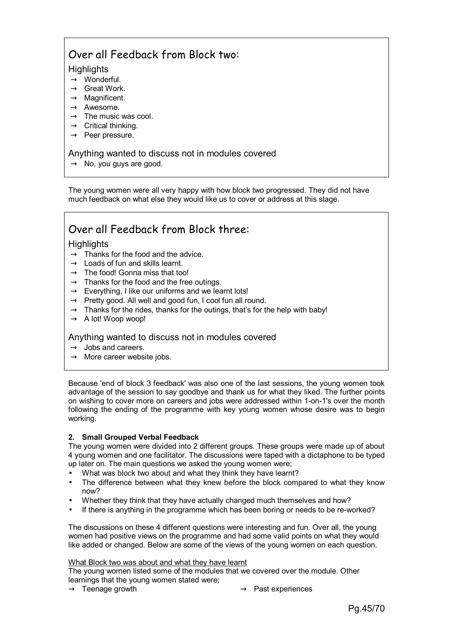# Over all Feedback from Block two:

# **Highlights**

- $\rightarrow$  Wonderful.
- $\rightarrow$  Great Work.
- $\rightarrow$  Magnificent.
- $\rightarrow$  Awesome.
- $\rightarrow$  The music was cool.
- $\rightarrow$  Critical thinking.
- $\rightarrow$  Peer pressure.

# Anything wanted to discuss not in modules covered

 $\rightarrow$  No, you guys are good.

The young women were all very happy with how block two progressed. They did not have much feedback on what else they would like us to cover or address at this stage.

# Over all Feedback from Block three:

# **Highlights**

- $\rightarrow$  Thanks for the food and the advice.
- $\rightarrow$  Loads of fun and skills learnt.
- $\rightarrow$  The food! Gonna miss that too!
- $\rightarrow$  Thanks for the food and the free outings.
- $\rightarrow$  Everything, I like our uniforms and we learnt lots!
- $\rightarrow$  Pretty good. All well and good fun, I cool fun all round.
- $\rightarrow$  Thanks for the rides, thanks for the outings, that's for the help with baby!
- $\rightarrow$  A lot! Woop woop!

# Anything wanted to discuss not in modules covered

- $\rightarrow$  Jobs and careers.
- $\rightarrow$  More career website jobs.

Because 'end of block 3 feedback' was also one of the last sessions, the young women took advantage of the session to say goodbye and thank us for what they liked. The further points on wishing to cover more on careers and jobs were addressed within 1-on-1's over the month following the ending of the programme with key young women whose desire was to begin working.

#### **2. Small Grouped Verbal Feedback**

The young women were divided into 2 different groups. These groups were made up of about 4 young women and one facilitator. The discussions were taped with a dictaphone to be typed up later on. The main questions we asked the young women were;

- What was block two about and what they think they have learnt?
- The difference between what they knew before the block compared to what they know now?
- Whether they think that they have actually changed much themselves and how?
- If there is anything in the programme which has been boring or needs to be re-worked?

The discussions on these 4 different questions were interesting and fun. Over all, the young women had positive views on the programme and had some valid points on what they would like added or changed. Below are some of the views of the young women on each question.

#### What Block two was about and what they have learnt

The young women listed some of the modules that we covered over the module. Other learnings that the young women stated were;

- 
- $\rightarrow$  Teenage growth  $\rightarrow$  Past experiences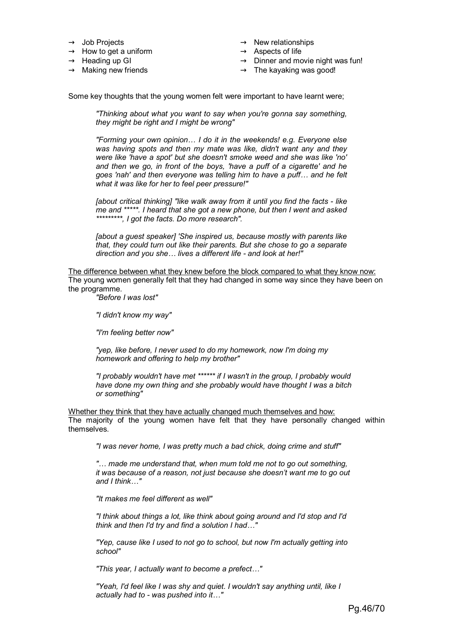- $\rightarrow$  Job Projects
- $\rightarrow$  How to get a uniform
- $\rightarrow$  Heading up GI
- $\rightarrow$  Making new friends
- $\rightarrow$  New relationships
- $\rightarrow$  Aspects of life
- $\rightarrow$  Dinner and movie night was fun!
- $\rightarrow$  The kayaking was good!

Some key thoughts that the young women felt were important to have learnt were;

*"Thinking about what you want to say when you're gonna say something, they might be right and I might be wrong"* 

*"Forming your own opinion… I do it in the weekends! e.g. Everyone else was having spots and then my mate was like, didn't want any and they were like 'have a spot' but she doesn't smoke weed and she was like 'no' and then we go, in front of the boys, 'have a puff of a cigarette' and he goes 'nah' and then everyone was telling him to have a puff… and he felt what it was like for her to feel peer pressure!"* 

*[about critical thinking] "like walk away from it until you find the facts - like me and \*\*\*\*\*. I heard that she got a new phone, but then I went and asked \*\*\*\*\*\*\*\*\*, I got the facts. Do more research".* 

*[about a guest speaker] 'She inspired us, because mostly with parents like that, they could turn out like their parents. But she chose to go a separate direction and you she… lives a different life - and look at her!"* 

The difference between what they knew before the block compared to what they know now: The young women generally felt that they had changed in some way since they have been on the programme.

*"Before I was lost"* 

*"I didn't know my way"* 

*"I'm feeling better now"* 

*"yep, like before, I never used to do my homework, now I'm doing my homework and offering to help my brother"* 

*"I probably wouldn't have met \*\*\*\*\*\* if I wasn't in the group, I probably would have done my own thing and she probably would have thought I was a bitch or something"* 

Whether they think that they have actually changed much themselves and how: The majority of the young women have felt that they have personally changed within themselves.

*"I was never home, I was pretty much a bad chick, doing crime and stuff"* 

*"… made me understand that, when mum told me not to go out something, it was because of a reason, not just because she doesn't want me to go out and I think…"* 

*"It makes me feel different as well"* 

*"I think about things a lot, like think about going around and I'd stop and I'd think and then I'd try and find a solution I had…"* 

*"Yep, cause like I used to not go to school, but now I'm actually getting into school"* 

*"This year, I actually want to become a prefect…"* 

*"Yeah, I'd feel like I was shy and quiet. I wouldn't say anything until, like I actually had to - was pushed into it…"*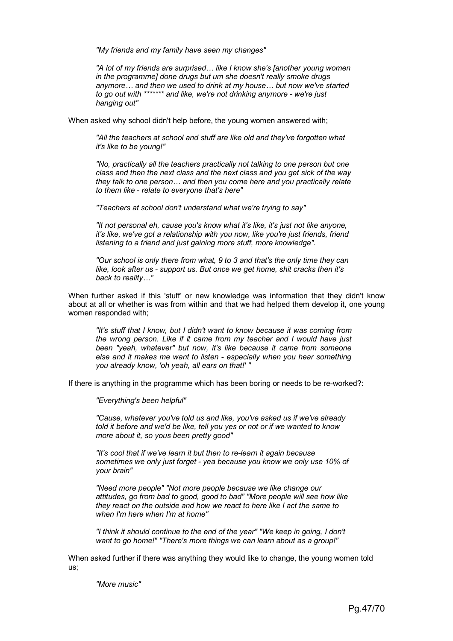*"My friends and my family have seen my changes"* 

*"A lot of my friends are surprised… like I know she's [another young women in the programme] done drugs but um she doesn't really smoke drugs anymore… and then we used to drink at my house… but now we've started to go out with \*\*\*\*\*\*\* and like, we're not drinking anymore - we're just hanging out"* 

When asked why school didn't help before, the young women answered with;

*"All the teachers at school and stuff are like old and they've forgotten what it's like to be young!"* 

*"No, practically all the teachers practically not talking to one person but one class and then the next class and the next class and you get sick of the way they talk to one person… and then you come here and you practically relate to them like - relate to everyone that's here"* 

*"Teachers at school don't understand what we're trying to say"* 

*"It not personal eh, cause you's know what it's like, it's just not like anyone, it's like, we've got a relationship with you now, like you're just friends, friend listening to a friend and just gaining more stuff, more knowledge".* 

*"Our school is only there from what, 9 to 3 and that's the only time they can like, look after us - support us. But once we get home, shit cracks then it's back to reality…"* 

When further asked if this 'stuff' or new knowledge was information that they didn't know about at all or whether is was from within and that we had helped them develop it, one young women responded with;

*"It's stuff that I know, but I didn't want to know because it was coming from the wrong person. Like if it came from my teacher and I would have just been "yeah, whatever" but now, it's like because it came from someone else and it makes me want to listen - especially when you hear something you already know, 'oh yeah, all ears on that!' "* 

If there is anything in the programme which has been boring or needs to be re-worked?:

*"Everything's been helpful"* 

*"Cause, whatever you've told us and like, you've asked us if we've already told it before and we'd be like, tell you yes or not or if we wanted to know more about it, so yous been pretty good"* 

*"It's cool that if we've learn it but then to re-learn it again because sometimes we only just forget - yea because you know we only use 10% of your brain"* 

*"Need more people" "Not more people because we like change our attitudes, go from bad to good, good to bad" "More people will see how like they react on the outside and how we react to here like I act the same to when I'm here when I'm at home"* 

*"I think it should continue to the end of the year" "We keep in going, I don't want to go home!" "There's more things we can learn about as a group!"* 

When asked further if there was anything they would like to change, the young women told us;

*"More music"*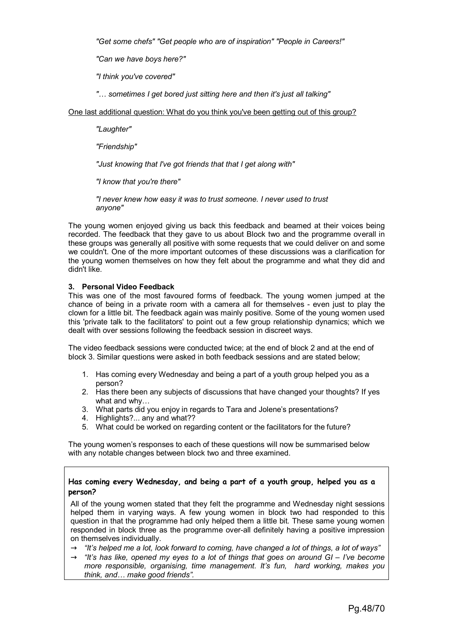*"Get some chefs" "Get people who are of inspiration" "People in Careers!"* 

*"Can we have boys here?"* 

*"I think you've covered"* 

*"… sometimes I get bored just sitting here and then it's just all talking"* 

One last additional question: What do you think you've been getting out of this group?

*"Laughter"* 

*"Friendship"* 

*"Just knowing that I've got friends that that I get along with"* 

*"I know that you're there"* 

*"I never knew how easy it was to trust someone. I never used to trust anyone"* 

The young women enjoyed giving us back this feedback and beamed at their voices being recorded. The feedback that they gave to us about Block two and the programme overall in these groups was generally all positive with some requests that we could deliver on and some we couldn't. One of the more important outcomes of these discussions was a clarification for the young women themselves on how they felt about the programme and what they did and didn't like.

#### **3. Personal Video Feedback**

This was one of the most favoured forms of feedback. The young women jumped at the chance of being in a private room with a camera all for themselves - even just to play the clown for a little bit. The feedback again was mainly positive. Some of the young women used this 'private talk to the facilitators' to point out a few group relationship dynamics; which we dealt with over sessions following the feedback session in discreet ways.

The video feedback sessions were conducted twice; at the end of block 2 and at the end of block 3. Similar questions were asked in both feedback sessions and are stated below;

- 1. Has coming every Wednesday and being a part of a youth group helped you as a person?
- 2. Has there been any subjects of discussions that have changed your thoughts? If yes what and why…
- 3. What parts did you enjoy in regards to Tara and Jolene's presentations?
- 4. Highlights?... any and what??
- 5. What could be worked on regarding content or the facilitators for the future?

The young women's responses to each of these questions will now be summarised below with any notable changes between block two and three examined.

#### **Has coming every Wednesday, and being a part of a youth group, helped you as a person?**

All of the young women stated that they felt the programme and Wednesday night sessions helped them in varying ways. A few young women in block two had responded to this question in that the programme had only helped them a little bit. These same young women responded in block three as the programme over-all definitely having a positive impression on themselves individually.

- $\rightarrow$  *"It's helped me a lot, look forward to coming, have changed a lot of things, a lot of ways"*
- → *"It's has like, opened my eyes to a lot of things that goes on around GI I've become more responsible, organising, time management. It's fun, hard working, makes you think, and… make good friends".*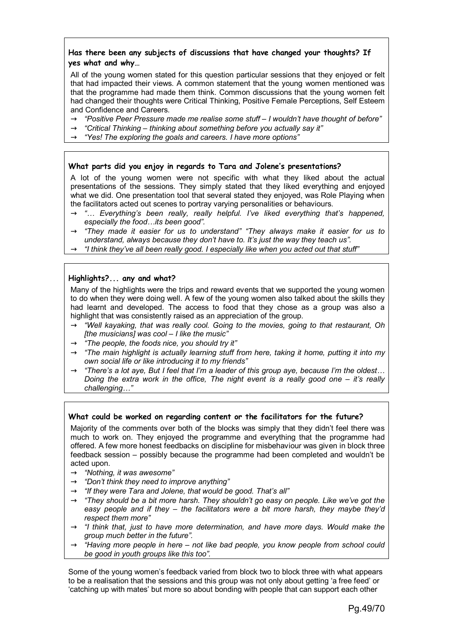# **Has there been any subjects of discussions that have changed your thoughts? If yes what and why…**

All of the young women stated for this question particular sessions that they enjoyed or felt that had impacted their views. A common statement that the young women mentioned was that the programme had made them think. Common discussions that the young women felt had changed their thoughts were Critical Thinking, Positive Female Perceptions, Self Esteem and Confidence and Careers.

- → *"Positive Peer Pressure made me realise some stuff I wouldn't have thought of before"*
- $\rightarrow$  "Critical Thinking thinking about something before you actually say it"
- → *"Yes! The exploring the goals and careers. I have more options"*

#### **What parts did you enjoy in regards to Tara and Jolene's presentations?**

A lot of the young women were not specific with what they liked about the actual presentations of the sessions. They simply stated that they liked everything and enjoyed what we did. One presentation tool that several stated they enjoyed, was Role Playing when the facilitators acted out scenes to portray varying personalities or behaviours.

- → *"… Everything's been really, really helpful. I've liked everything that's happened, especially the food…its been good".*
- → *"They made it easier for us to understand" "They always make it easier for us to understand, always because they don't have to. It's just the way they teach us".*
- → *"I think they've all been really good. I especially like when you acted out that stuff"*

#### **Highlights?... any and what?**

Many of the highlights were the trips and reward events that we supported the young women to do when they were doing well. A few of the young women also talked about the skills they had learnt and developed. The access to food that they chose as a group was also a highlight that was consistently raised as an appreciation of the group.

- → *"Well kayaking, that was really cool. Going to the movies, going to that restaurant, Oh [the musicians] was cool – I like the music"*
- $\rightarrow$  *"The people, the foods nice, you should try it"*
- $\rightarrow$  *"The main highlight is actually learning stuff from here, taking it home, putting it into my own social life or like introducing it to my friends"*
- → *"There's a lot aye, But I feel that I'm a leader of this group aye, because I'm the oldest… Doing the extra work in the office, The night event is a really good one – it's really challenging…"*

#### **What could be worked on regarding content or the facilitators for the future?**

Majority of the comments over both of the blocks was simply that they didn't feel there was much to work on. They enjoyed the programme and everything that the programme had offered. A few more honest feedbacks on discipline for misbehaviour was given in block three feedback session – possibly because the programme had been completed and wouldn't be acted upon.

- → *"Nothing, it was awesome"*
- → *"Don't think they need to improve anything"*
- $\rightarrow$  *"If they were Tara and Jolene, that would be good. That's all"*
- $\rightarrow$  *"They should be a bit more harsh. They shouldn't go easy on people. Like we've got the easy people and if they – the facilitators were a bit more harsh, they maybe they'd respect them more"*
- $\rightarrow$  *"I think that, just to have more determination, and have more days. Would make the group much better in the future".*
- → *"Having more people in here not like bad people, you know people from school could be good in youth groups like this too".*

Some of the young women's feedback varied from block two to block three with what appears to be a realisation that the sessions and this group was not only about getting 'a free feed' or 'catching up with mates' but more so about bonding with people that can support each other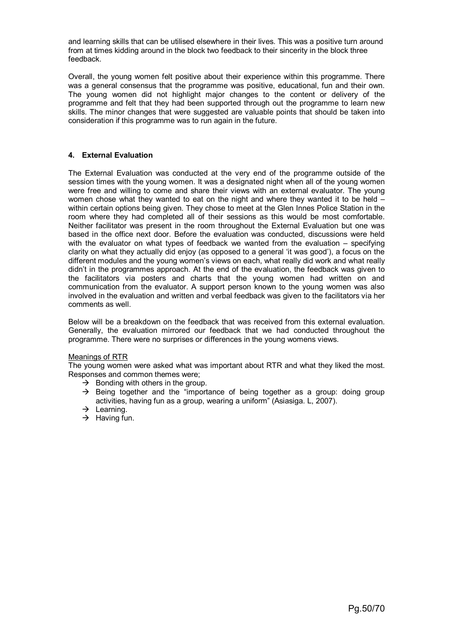and learning skills that can be utilised elsewhere in their lives. This was a positive turn around from at times kidding around in the block two feedback to their sincerity in the block three feedback.

Overall, the young women felt positive about their experience within this programme. There was a general consensus that the programme was positive, educational, fun and their own. The young women did not highlight major changes to the content or delivery of the programme and felt that they had been supported through out the programme to learn new skills. The minor changes that were suggested are valuable points that should be taken into consideration if this programme was to run again in the future.

#### **4. External Evaluation**

The External Evaluation was conducted at the very end of the programme outside of the session times with the young women. It was a designated night when all of the young women were free and willing to come and share their views with an external evaluator. The young women chose what they wanted to eat on the night and where they wanted it to be held – within certain options being given. They chose to meet at the Glen Innes Police Station in the room where they had completed all of their sessions as this would be most comfortable. Neither facilitator was present in the room throughout the External Evaluation but one was based in the office next door. Before the evaluation was conducted, discussions were held with the evaluator on what types of feedback we wanted from the evaluation – specifying clarity on what they actually did enjoy (as opposed to a general 'it was good'), a focus on the different modules and the young women's views on each, what really did work and what really didn't in the programmes approach. At the end of the evaluation, the feedback was given to the facilitators via posters and charts that the young women had written on and communication from the evaluator. A support person known to the young women was also involved in the evaluation and written and verbal feedback was given to the facilitators via her comments as well.

Below will be a breakdown on the feedback that was received from this external evaluation. Generally, the evaluation mirrored our feedback that we had conducted throughout the programme. There were no surprises or differences in the young womens views.

#### Meanings of RTR

The young women were asked what was important about RTR and what they liked the most. Responses and common themes were;

- $\rightarrow$  Bonding with others in the group.
- $\rightarrow$  Being together and the "importance of being together as a group: doing group activities, having fun as a group, wearing a uniform" (Asiasiga. L, 2007).
- $\rightarrow$  Learning.
- $\rightarrow$  Having fun.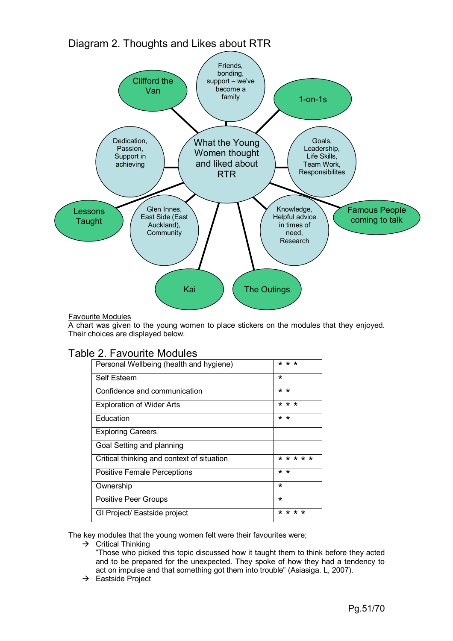Diagram 2. Thoughts and Likes about RTR



# Favourite Modules

A chart was given to the young women to place stickers on the modules that they enjoyed. Their choices are displayed below.

| Personal Wellbeing (health and hygiene)    | * * *           |
|--------------------------------------------|-----------------|
| Self Esteem                                | $\star$         |
| Confidence and communication               | $\star$ $\star$ |
| <b>Exploration of Wider Arts</b>           | * * *           |
| Education                                  | $\star$ $\star$ |
| <b>Exploring Careers</b>                   |                 |
| Goal Setting and planning                  |                 |
| Critical thinking and context of situation | * * * * *       |
| <b>Positive Female Perceptions</b>         | $\star$ $\star$ |
| Ownership                                  | ∗               |
| <b>Positive Peer Groups</b>                | $\star$         |
| GI Project/ Eastside project               | * * * *         |

The key modules that the young women felt were their favourites were;

 $\rightarrow$  Critical Thinking

"Those who picked this topic discussed how it taught them to think before they acted and to be prepared for the unexpected. They spoke of how they had a tendency to act on impulse and that something got them into trouble" (Asiasiga. L, 2007).

 $\rightarrow$  Eastside Project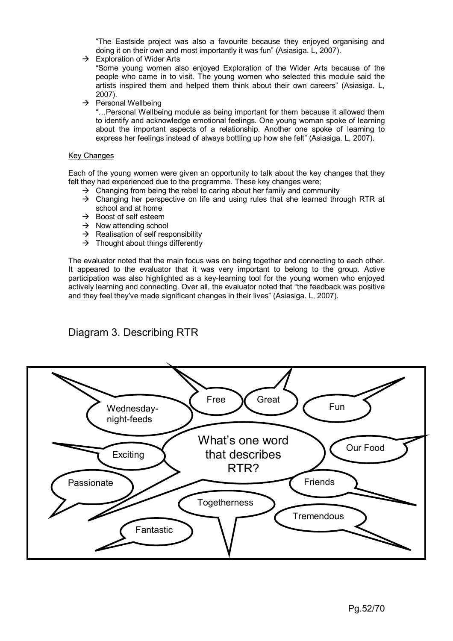"The Eastside project was also a favourite because they enjoyed organising and doing it on their own and most importantly it was fun" (Asiasiga. L, 2007).

 $\rightarrow$  Exploration of Wider Arts

"Some young women also enjoyed Exploration of the Wider Arts because of the people who came in to visit. The young women who selected this module said the artists inspired them and helped them think about their own careers" (Asiasiga. L, 2007).

 $\rightarrow$  Personal Wellbeing

"…Personal Wellbeing module as being important for them because it allowed them to identify and acknowledge emotional feelings. One young woman spoke of learning about the important aspects of a relationship. Another one spoke of learning to express her feelings instead of always bottling up how she felt" (Asiasiga. L, 2007).

#### Key Changes

Each of the young women were given an opportunity to talk about the key changes that they felt they had experienced due to the programme. These key changes were;

- $\rightarrow$  Changing from being the rebel to caring about her family and community
- $\rightarrow$  Changing her perspective on life and using rules that she learned through RTR at school and at home
- $\rightarrow$  Boost of self esteem
- $\rightarrow$  Now attending school
- $\rightarrow$  Realisation of self responsibility
- $\rightarrow$  Thought about things differently

The evaluator noted that the main focus was on being together and connecting to each other. It appeared to the evaluator that it was very important to belong to the group. Active participation was also highlighted as a key-learning tool for the young women who enjoyed actively learning and connecting. Over all, the evaluator noted that "the feedback was positive and they feel they've made significant changes in their lives" (Asiasiga. L, 2007).

# Diagram 3. Describing RTR

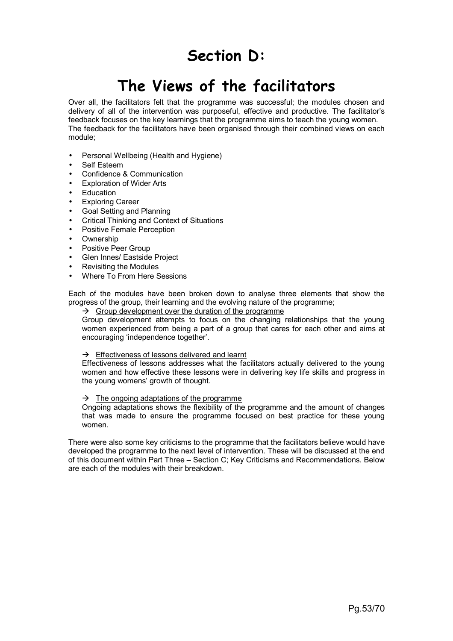# **Section D:**

# **The Views of the facilitators**

Over all, the facilitators felt that the programme was successful; the modules chosen and delivery of all of the intervention was purposeful, effective and productive. The facilitator's feedback focuses on the key learnings that the programme aims to teach the young women. The feedback for the facilitators have been organised through their combined views on each module;

- Personal Wellbeing (Health and Hygiene)
- Self Esteem
- Confidence & Communication
- Exploration of Wider Arts
- **Education**
- Exploring Career
- Goal Setting and Planning
- Critical Thinking and Context of Situations
- Positive Female Perception
- Ownership
- Positive Peer Group
- Glen Innes/ Eastside Project
- Revisiting the Modules
- Where To From Here Sessions

Each of the modules have been broken down to analyse three elements that show the progress of the group, their learning and the evolving nature of the programme;

 $\rightarrow$  Group development over the duration of the programme

Group development attempts to focus on the changing relationships that the young women experienced from being a part of a group that cares for each other and aims at encouraging 'independence together'.

#### $\rightarrow$  Effectiveness of lessons delivered and learnt

Effectiveness of lessons addresses what the facilitators actually delivered to the young women and how effective these lessons were in delivering key life skills and progress in the young womens' growth of thought.

#### $\rightarrow$  The ongoing adaptations of the programme

Ongoing adaptations shows the flexibility of the programme and the amount of changes that was made to ensure the programme focused on best practice for these young women.

There were also some key criticisms to the programme that the facilitators believe would have developed the programme to the next level of intervention. These will be discussed at the end of this document within Part Three – Section C; Key Criticisms and Recommendations. Below are each of the modules with their breakdown.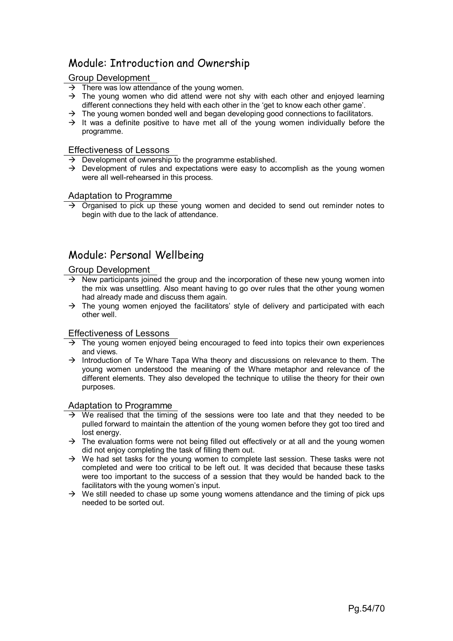# Module: Introduction and Ownership

# Group Development

- $\rightarrow$  There was low attendance of the young women.
- $\rightarrow$  The young women who did attend were not shy with each other and enjoyed learning different connections they held with each other in the 'get to know each other game'.
- $\rightarrow$  The young women bonded well and began developing good connections to facilitators.
- $\rightarrow$  It was a definite positive to have met all of the young women individually before the programme.

#### Effectiveness of Lessons

- $\rightarrow$  Development of ownership to the programme established.
- $\rightarrow$  Development of rules and expectations were easy to accomplish as the young women were all well-rehearsed in this process.

#### Adaptation to Programme

 $\rightarrow$  Organised to pick up these young women and decided to send out reminder notes to begin with due to the lack of attendance.

# Module: Personal Wellbeing

#### Group Development

- $\rightarrow$  New participants joined the group and the incorporation of these new young women into the mix was unsettling. Also meant having to go over rules that the other young women had already made and discuss them again.
- $\rightarrow$  The young women enjoyed the facilitators' style of delivery and participated with each other well.

#### Effectiveness of Lessons

- $\rightarrow$  The young women enjoyed being encouraged to feed into topics their own experiences and views.
- $\rightarrow$  Introduction of Te Whare Tapa Wha theory and discussions on relevance to them. The young women understood the meaning of the Whare metaphor and relevance of the different elements. They also developed the technique to utilise the theory for their own purposes.

#### Adaptation to Programme

- $\rightarrow$  We realised that the timing of the sessions were too late and that they needed to be pulled forward to maintain the attention of the young women before they got too tired and lost energy.
- $\rightarrow$  The evaluation forms were not being filled out effectively or at all and the young women did not enjoy completing the task of filling them out.
- $\rightarrow$  We had set tasks for the young women to complete last session. These tasks were not completed and were too critical to be left out. It was decided that because these tasks were too important to the success of a session that they would be handed back to the facilitators with the young women's input.
- $\rightarrow$  We still needed to chase up some young womens attendance and the timing of pick ups needed to be sorted out.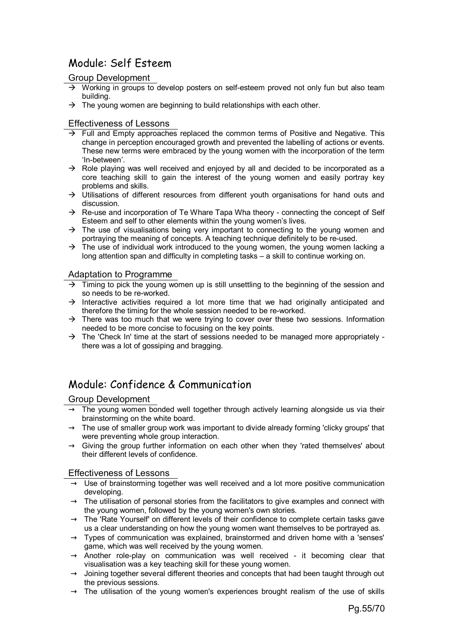# Module: Self Esteem

# Group Development

- $\rightarrow$  Working in groups to develop posters on self-esteem proved not only fun but also team building.
- $\rightarrow$  The young women are beginning to build relationships with each other.

#### Effectiveness of Lessons

- $\rightarrow$  Full and Empty approaches replaced the common terms of Positive and Negative. This change in perception encouraged growth and prevented the labelling of actions or events. These new terms were embraced by the young women with the incorporation of the term 'In-between'.
- $\rightarrow$  Role playing was well received and enjoyed by all and decided to be incorporated as a core teaching skill to gain the interest of the young women and easily portray key problems and skills.
- $\rightarrow$  Utilisations of different resources from different youth organisations for hand outs and discussion.
- $\rightarrow$  Re-use and incorporation of Te Whare Tapa Wha theory connecting the concept of Self Esteem and self to other elements within the young women's lives.
- $\rightarrow$  The use of visualisations being very important to connecting to the young women and portraying the meaning of concepts. A teaching technique definitely to be re-used.
- $\rightarrow$  The use of individual work introduced to the young women, the young women lacking a long attention span and difficulty in completing tasks – a skill to continue working on.

#### Adaptation to Programme

- $\rightarrow$  Timing to pick the young women up is still unsettling to the beginning of the session and so needs to be re-worked.
- $\rightarrow$  Interactive activities required a lot more time that we had originally anticipated and therefore the timing for the whole session needed to be re-worked.
- $\rightarrow$  There was too much that we were trying to cover over these two sessions. Information needed to be more concise to focusing on the key points.
- $\rightarrow$  The 'Check In' time at the start of sessions needed to be managed more appropriately there was a lot of gossiping and bragging.

# Module: Confidence & Communication

#### Group Development

- $\rightarrow$  The young women bonded well together through actively learning alongside us via their brainstorming on the white board.
- $\rightarrow$  The use of smaller group work was important to divide already forming 'clicky groups' that were preventing whole group interaction.
- $\rightarrow$  Giving the group further information on each other when they 'rated themselves' about their different levels of confidence.

#### Effectiveness of Lessons

- $\rightarrow$  Use of brainstorming together was well received and a lot more positive communication developing.
- $\rightarrow$  The utilisation of personal stories from the facilitators to give examples and connect with the young women, followed by the young women's own stories.
- $\rightarrow$  The 'Rate Yourself' on different levels of their confidence to complete certain tasks gave us a clear understanding on how the young women want themselves to be portrayed as.
- $\rightarrow$  Types of communication was explained, brainstormed and driven home with a 'senses' game, which was well received by the young women.
- $\rightarrow$  Another role-play on communication was well received it becoming clear that visualisation was a key teaching skill for these young women.
- $\rightarrow$  Joining together several different theories and concepts that had been taught through out the previous sessions.
- $\rightarrow$  The utilisation of the young women's experiences brought realism of the use of skills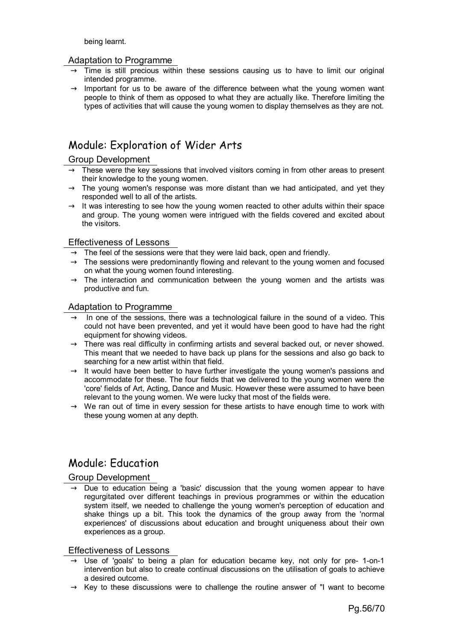being learnt.

#### Adaptation to Programme

- $\rightarrow$  Time is still precious within these sessions causing us to have to limit our original intended programme.
- $\rightarrow$  Important for us to be aware of the difference between what the young women want people to think of them as opposed to what they are actually like. Therefore limiting the types of activities that will cause the young women to display themselves as they are not.

# Module: Exploration of Wider Arts

# Group Development

- $\rightarrow$  These were the key sessions that involved visitors coming in from other areas to present their knowledge to the young women.
- $\rightarrow$  The young women's response was more distant than we had anticipated, and yet they responded well to all of the artists.
- $\rightarrow$  It was interesting to see how the young women reacted to other adults within their space and group. The young women were intrigued with the fields covered and excited about the visitors.

#### Effectiveness of Lessons

- $\rightarrow$  The feel of the sessions were that they were laid back, open and friendly.
- $\rightarrow$  The sessions were predominantly flowing and relevant to the young women and focused on what the young women found interesting.
- $\rightarrow$  The interaction and communication between the young women and the artists was productive and fun.

#### Adaptation to Programme

- $\rightarrow$  In one of the sessions, there was a technological failure in the sound of a video. This could not have been prevented, and yet it would have been good to have had the right equipment for showing videos.
- $\rightarrow$  There was real difficulty in confirming artists and several backed out, or never showed. This meant that we needed to have back up plans for the sessions and also go back to searching for a new artist within that field.
- $\rightarrow$  It would have been better to have further investigate the young women's passions and accommodate for these. The four fields that we delivered to the young women were the 'core' fields of Art, Acting, Dance and Music. However these were assumed to have been relevant to the young women. We were lucky that most of the fields were.
- $\rightarrow$  We ran out of time in every session for these artists to have enough time to work with these young women at any depth.

# Module: Education

#### Group Development

 $\rightarrow$  Due to education being a 'basic' discussion that the young women appear to have regurgitated over different teachings in previous programmes or within the education system itself, we needed to challenge the young women's perception of education and shake things up a bit. This took the dynamics of the group away from the 'normal experiences' of discussions about education and brought uniqueness about their own experiences as a group.

#### Effectiveness of Lessons

- $\rightarrow$  Use of 'goals' to being a plan for education became key, not only for pre- 1-on-1 intervention but also to create continual discussions on the utilisation of goals to achieve a desired outcome.
- $\rightarrow$  Key to these discussions were to challenge the routine answer of "I want to become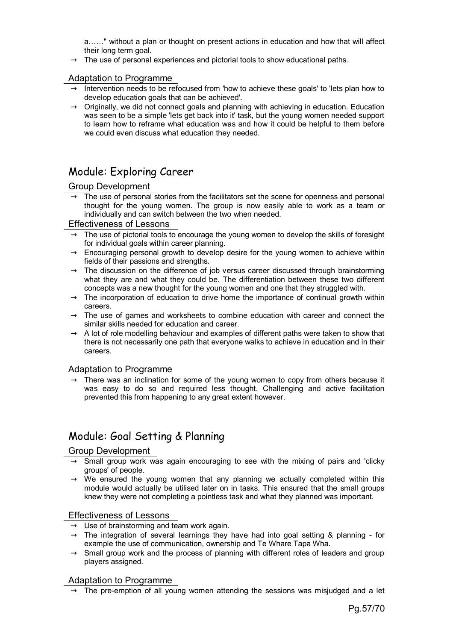a……" without a plan or thought on present actions in education and how that will affect their long term goal.

 $\rightarrow$  The use of personal experiences and pictorial tools to show educational paths.

#### Adaptation to Programme

- $\rightarrow$  Intervention needs to be refocused from 'how to achieve these goals' to 'lets plan how to develop education goals that can be achieved'.
- $\rightarrow$  Originally, we did not connect goals and planning with achieving in education. Education was seen to be a simple 'lets get back into it' task, but the young women needed support to learn how to reframe what education was and how it could be helpful to them before we could even discuss what education they needed.

# Module: Exploring Career

#### Group Development

 $\rightarrow$  The use of personal stories from the facilitators set the scene for openness and personal thought for the young women. The group is now easily able to work as a team or individually and can switch between the two when needed.

#### Effectiveness of Lessons

- $\rightarrow$  The use of pictorial tools to encourage the young women to develop the skills of foresight for individual goals within career planning.
- $\rightarrow$  Encouraging personal growth to develop desire for the young women to achieve within fields of their passions and strengths.
- $\rightarrow$  The discussion on the difference of job versus career discussed through brainstorming what they are and what they could be. The differentiation between these two different concepts was a new thought for the young women and one that they struggled with.
- $\rightarrow$  The incorporation of education to drive home the importance of continual growth within careers.
- $\rightarrow$  The use of games and worksheets to combine education with career and connect the similar skills needed for education and career.
- $\rightarrow$  A lot of role modelling behaviour and examples of different paths were taken to show that there is not necessarily one path that everyone walks to achieve in education and in their careers.

# Adaptation to Programme

 $\rightarrow$  There was an inclination for some of the young women to copy from others because it was easy to do so and required less thought. Challenging and active facilitation prevented this from happening to any great extent however.

# Module: Goal Setting & Planning

# Group Development

- $\rightarrow$  Small group work was again encouraging to see with the mixing of pairs and 'clicky groups' of people.
- $\rightarrow$  We ensured the young women that any planning we actually completed within this module would actually be utilised later on in tasks. This ensured that the small groups knew they were not completing a pointless task and what they planned was important.

# Effectiveness of Lessons

- $\rightarrow$  Use of brainstorming and team work again.
- $\rightarrow$  The integration of several learnings they have had into goal setting & planning for example the use of communication, ownership and Te Whare Tapa Wha.
- $\rightarrow$  Small group work and the process of planning with different roles of leaders and group players assigned.

#### Adaptation to Programme

 $\rightarrow$  The pre-emption of all young women attending the sessions was misjudged and a let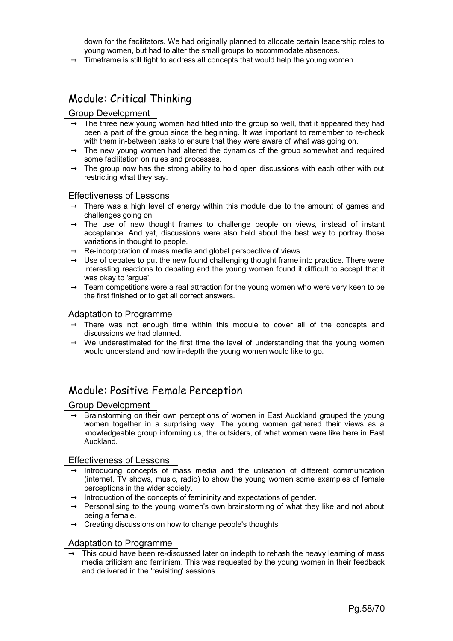down for the facilitators. We had originally planned to allocate certain leadership roles to young women, but had to alter the small groups to accommodate absences.

 $\rightarrow$  Timeframe is still tight to address all concepts that would help the young women.

# Module: Critical Thinking

# Group Development

- $\rightarrow$  The three new young women had fitted into the group so well, that it appeared they had been a part of the group since the beginning. It was important to remember to re-check with them in-between tasks to ensure that they were aware of what was going on.
- $\rightarrow$  The new young women had altered the dynamics of the group somewhat and required some facilitation on rules and processes.
- $\rightarrow$  The group now has the strong ability to hold open discussions with each other with out restricting what they say.

#### Effectiveness of Lessons

- $\rightarrow$  There was a high level of energy within this module due to the amount of games and challenges going on.
- $\rightarrow$  The use of new thought frames to challenge people on views, instead of instant acceptance. And yet, discussions were also held about the best way to portray those variations in thought to people.
- $\rightarrow$  Re-incorporation of mass media and global perspective of views.
- $\rightarrow$  Use of debates to put the new found challenging thought frame into practice. There were interesting reactions to debating and the young women found it difficult to accept that it was okay to 'argue'.
- $\rightarrow$  Team competitions were a real attraction for the young women who were very keen to be the first finished or to get all correct answers.

#### Adaptation to Programme

- $\rightarrow$  There was not enough time within this module to cover all of the concepts and discussions we had planned.
- $\rightarrow$  We underestimated for the first time the level of understanding that the young women would understand and how in-depth the young women would like to go.

# Module: Positive Female Perception

#### Group Development

 $\rightarrow$  Brainstorming on their own perceptions of women in East Auckland grouped the young women together in a surprising way. The young women gathered their views as a knowledgeable group informing us, the outsiders, of what women were like here in East Auckland.

#### Effectiveness of Lessons

- $\rightarrow$  Introducing concepts of mass media and the utilisation of different communication (internet, TV shows, music, radio) to show the young women some examples of female perceptions in the wider society.
- $\rightarrow$  Introduction of the concepts of femininity and expectations of gender.
- $\rightarrow$  Personalising to the young women's own brainstorming of what they like and not about being a female.
- $\rightarrow$  Creating discussions on how to change people's thoughts.

#### Adaptation to Programme

 $\rightarrow$  This could have been re-discussed later on indepth to rehash the heavy learning of mass media criticism and feminism. This was requested by the young women in their feedback and delivered in the 'revisiting' sessions.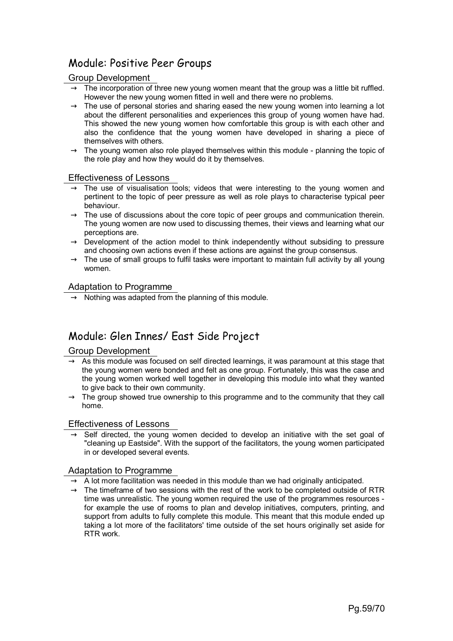# Module: Positive Peer Groups

# Group Development

- $\rightarrow$  The incorporation of three new young women meant that the group was a little bit ruffled. However the new young women fitted in well and there were no problems.
- $\rightarrow$  The use of personal stories and sharing eased the new young women into learning a lot about the different personalities and experiences this group of young women have had. This showed the new young women how comfortable this group is with each other and also the confidence that the young women have developed in sharing a piece of themselves with others.
- $\rightarrow$  The young women also role played themselves within this module planning the topic of the role play and how they would do it by themselves.

# Effectiveness of Lessons

- $\rightarrow$  The use of visualisation tools; videos that were interesting to the young women and pertinent to the topic of peer pressure as well as role plays to characterise typical peer behaviour.
- $\rightarrow$  The use of discussions about the core topic of peer groups and communication therein. The young women are now used to discussing themes, their views and learning what our perceptions are.
- $\rightarrow$  Development of the action model to think independently without subsiding to pressure and choosing own actions even if these actions are against the group consensus.
- $\rightarrow$  The use of small groups to fulfil tasks were important to maintain full activity by all young women.

# Adaptation to Programme

 $\rightarrow$  Nothing was adapted from the planning of this module.

# Module: Glen Innes/ East Side Project

# Group Development

- $\rightarrow$  As this module was focused on self directed learnings, it was paramount at this stage that the young women were bonded and felt as one group. Fortunately, this was the case and the young women worked well together in developing this module into what they wanted to give back to their own community.
- $\rightarrow$  The group showed true ownership to this programme and to the community that they call home.

# Effectiveness of Lessons

 $\rightarrow$  Self directed, the young women decided to develop an initiative with the set goal of "cleaning up Eastside". With the support of the facilitators, the young women participated in or developed several events.

# Adaptation to Programme

- $\rightarrow$  A lot more facilitation was needed in this module than we had originally anticipated.
- $\rightarrow$  The timeframe of two sessions with the rest of the work to be completed outside of RTR time was unrealistic. The young women required the use of the programmes resources for example the use of rooms to plan and develop initiatives, computers, printing, and support from adults to fully complete this module. This meant that this module ended up taking a lot more of the facilitators' time outside of the set hours originally set aside for RTR work.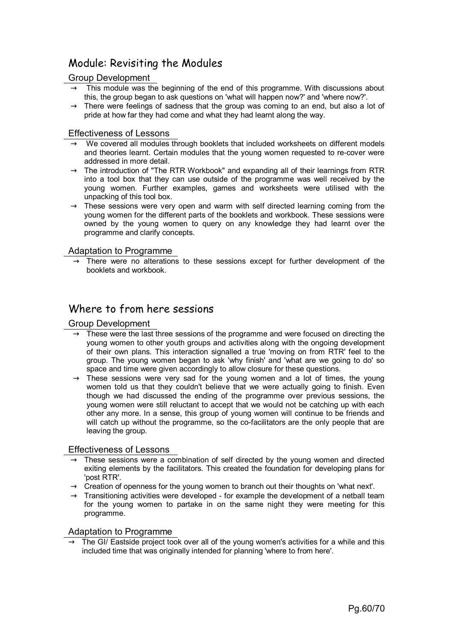# Module: Revisiting the Modules

# Group Development

- $\rightarrow$  This module was the beginning of the end of this programme. With discussions about this, the group began to ask questions on 'what will happen now?' and 'where now?'.
- $\rightarrow$  There were feelings of sadness that the group was coming to an end, but also a lot of pride at how far they had come and what they had learnt along the way.

#### Effectiveness of Lessons

- $\rightarrow$  We covered all modules through booklets that included worksheets on different models and theories learnt. Certain modules that the young women requested to re-cover were addressed in more detail.
- $\rightarrow$  The introduction of "The RTR Workbook" and expanding all of their learnings from RTR into a tool box that they can use outside of the programme was well received by the young women. Further examples, games and worksheets were utilised with the unpacking of this tool box.
- $\rightarrow$  These sessions were very open and warm with self directed learning coming from the young women for the different parts of the booklets and workbook. These sessions were owned by the young women to query on any knowledge they had learnt over the programme and clarify concepts.

# Adaptation to Programme

 $\rightarrow$  There were no alterations to these sessions except for further development of the booklets and workbook.

# Where to from here sessions

# Group Development

- $\rightarrow$  These were the last three sessions of the programme and were focused on directing the young women to other youth groups and activities along with the ongoing development of their own plans. This interaction signalled a true 'moving on from RTR' feel to the group. The young women began to ask 'why finish' and 'what are we going to do' so space and time were given accordingly to allow closure for these questions.
- $\rightarrow$  These sessions were very sad for the young women and a lot of times, the young women told us that they couldn't believe that we were actually going to finish. Even though we had discussed the ending of the programme over previous sessions, the young women were still reluctant to accept that we would not be catching up with each other any more. In a sense, this group of young women will continue to be friends and will catch up without the programme, so the co-facilitators are the only people that are leaving the group.

#### Effectiveness of Lessons

- $\rightarrow$  These sessions were a combination of self directed by the young women and directed exiting elements by the facilitators. This created the foundation for developing plans for 'post RTR'.
- $\rightarrow$  Creation of openness for the young women to branch out their thoughts on 'what next'.
- $\rightarrow$  Transitioning activities were developed for example the development of a netball team for the young women to partake in on the same night they were meeting for this programme.

# Adaptation to Programme

The GI/ Eastside project took over all of the young women's activities for a while and this included time that was originally intended for planning 'where to from here'.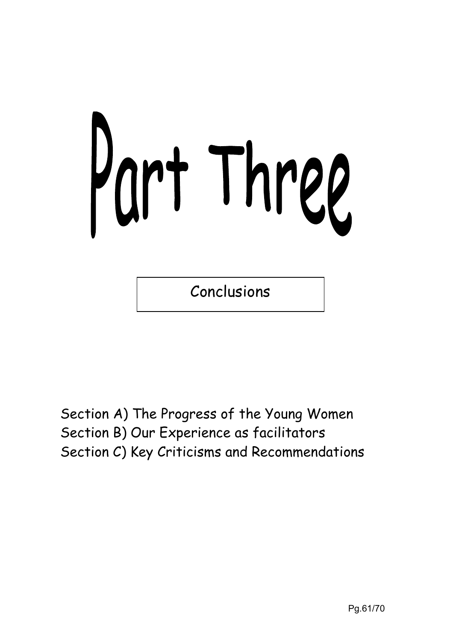# Part Three

Conclusions

Section A) The Progress of the Young Women Section B) Our Experience as facilitators Section C) Key Criticisms and Recommendations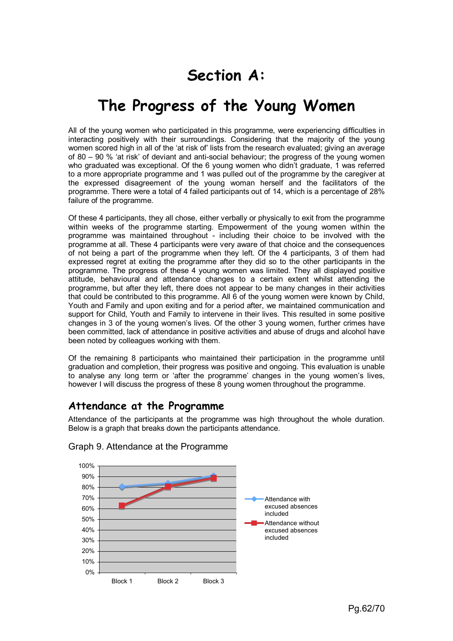# **Section A:**

# **The Progress of the Young Women**

All of the young women who participated in this programme, were experiencing difficulties in interacting positively with their surroundings. Considering that the majority of the young women scored high in all of the 'at risk of' lists from the research evaluated; giving an average of 80 – 90 % 'at risk' of deviant and anti-social behaviour; the progress of the young women who graduated was exceptional. Of the 6 young women who didn't graduate, 1 was referred to a more appropriate programme and 1 was pulled out of the programme by the caregiver at the expressed disagreement of the young woman herself and the facilitators of the programme. There were a total of 4 failed participants out of 14, which is a percentage of 28% failure of the programme.

Of these 4 participants, they all chose, either verbally or physically to exit from the programme within weeks of the programme starting. Empowerment of the young women within the programme was maintained throughout - including their choice to be involved with the programme at all. These 4 participants were very aware of that choice and the consequences of not being a part of the programme when they left. Of the 4 participants, 3 of them had expressed regret at exiting the programme after they did so to the other participants in the programme. The progress of these 4 young women was limited. They all displayed positive attitude, behavioural and attendance changes to a certain extent whilst attending the programme, but after they left, there does not appear to be many changes in their activities that could be contributed to this programme. All 6 of the young women were known by Child, Youth and Family and upon exiting and for a period after, we maintained communication and support for Child, Youth and Family to intervene in their lives. This resulted in some positive changes in 3 of the young women's lives. Of the other 3 young women, further crimes have been committed, lack of attendance in positive activities and abuse of drugs and alcohol have been noted by colleagues working with them.

Of the remaining 8 participants who maintained their participation in the programme until graduation and completion, their progress was positive and ongoing. This evaluation is unable to analyse any long term or 'after the programme' changes in the young women's lives, however I will discuss the progress of these 8 young women throughout the programme.

# **Attendance at the Programme**

Attendance of the participants at the programme was high throughout the whole duration. Below is a graph that breaks down the participants attendance.



# Graph 9. Attendance at the Programme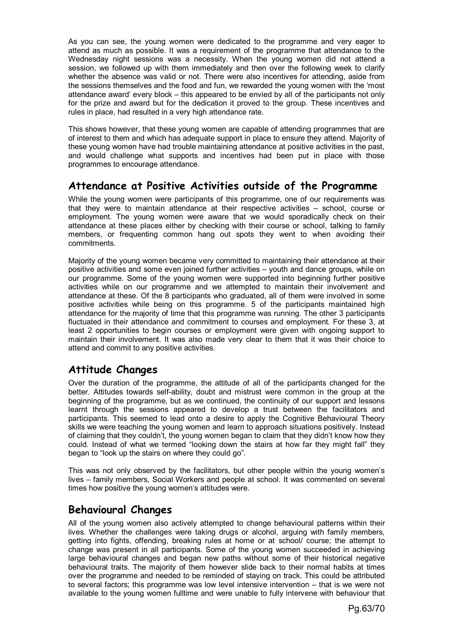As you can see, the young women were dedicated to the programme and very eager to attend as much as possible. It was a requirement of the programme that attendance to the Wednesday night sessions was a necessity. When the young women did not attend a session, we followed up with them immediately and then over the following week to clarify whether the absence was valid or not. There were also incentives for attending, aside from the sessions themselves and the food and fun, we rewarded the young women with the 'most attendance award' every block – this appeared to be envied by all of the participants not only for the prize and award but for the dedication it proved to the group. These incentives and rules in place, had resulted in a very high attendance rate.

This shows however, that these young women are capable of attending programmes that are of interest to them and which has adequate support in place to ensure they attend. Majority of these young women have had trouble maintaining attendance at positive activities in the past, and would challenge what supports and incentives had been put in place with those programmes to encourage attendance.

# **Attendance at Positive Activities outside of the Programme**

While the young women were participants of this programme, one of our requirements was that they were to maintain attendance at their respective activities – school, course or employment. The young women were aware that we would sporadically check on their attendance at these places either by checking with their course or school, talking to family members, or frequenting common hang out spots they went to when avoiding their commitments.

Majority of the young women became very committed to maintaining their attendance at their positive activities and some even joined further activities – youth and dance groups, while on our programme. Some of the young women were supported into beginning further positive activities while on our programme and we attempted to maintain their involvement and attendance at these. Of the 8 participants who graduated, all of them were involved in some positive activities while being on this programme. 5 of the participants maintained high attendance for the majority of time that this programme was running. The other 3 participants fluctuated in their attendance and commitment to courses and employment. For these 3, at least 2 opportunities to begin courses or employment were given with ongoing support to maintain their involvement. It was also made very clear to them that it was their choice to attend and commit to any positive activities.

# **Attitude Changes**

Over the duration of the programme, the attitude of all of the participants changed for the better. Attitudes towards self-ability, doubt and mistrust were common in the group at the beginning of the programme, but as we continued, the continuity of our support and lessons learnt through the sessions appeared to develop a trust between the facilitators and participants. This seemed to lead onto a desire to apply the Cognitive Behavioural Theory skills we were teaching the young women and learn to approach situations positively. Instead of claiming that they couldn't, the young women began to claim that they didn't know how they could. Instead of what we termed "looking down the stairs at how far they might fall" they began to "look up the stairs on where they could go".

This was not only observed by the facilitators, but other people within the young women's lives – family members, Social Workers and people at school. It was commented on several times how positive the young women's attitudes were.

# **Behavioural Changes**

All of the young women also actively attempted to change behavioural patterns within their lives. Whether the challenges were taking drugs or alcohol, arguing with family members, getting into fights, offending, breaking rules at home or at school/ course; the attempt to change was present in all participants. Some of the young women succeeded in achieving large behavioural changes and began new paths without some of their historical negative behavioural traits. The majority of them however slide back to their normal habits at times over the programme and needed to be reminded of staying on track. This could be attributed to several factors; this programme was low level intensive intervention – that is we were not available to the young women fulltime and were unable to fully intervene with behaviour that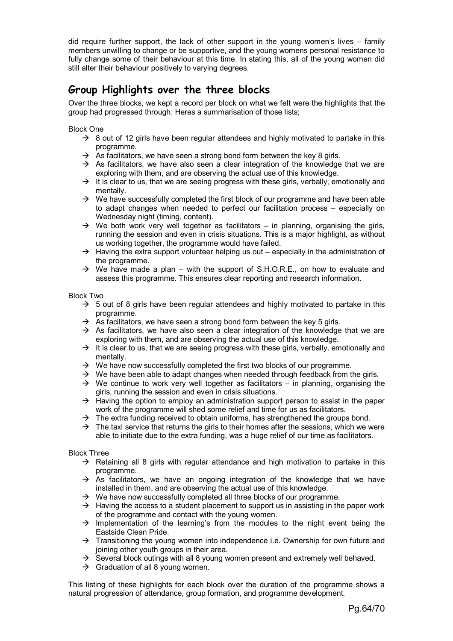did require further support, the lack of other support in the young women's lives – family members unwilling to change or be supportive, and the young womens personal resistance to fully change some of their behaviour at this time. In stating this, all of the young women did still alter their behaviour positively to varying degrees.

# **Group Highlights over the three blocks**

Over the three blocks, we kept a record per block on what we felt were the highlights that the group had progressed through. Heres a summarisation of those lists;

Block One

- $\rightarrow$  8 out of 12 girls have been regular attendees and highly motivated to partake in this programme.
- $\rightarrow$  As facilitators, we have seen a strong bond form between the key 8 girls.
- $\rightarrow$  As facilitators, we have also seen a clear integration of the knowledge that we are exploring with them, and are observing the actual use of this knowledge.
- $\rightarrow$  It is clear to us, that we are seeing progress with these girls, verbally, emotionally and mentally.
- $\rightarrow$  We have successfully completed the first block of our programme and have been able to adapt changes when needed to perfect our facilitation process – especially on Wednesday night (timing, content).
- $\rightarrow$  We both work very well together as facilitators in planning, organising the girls, running the session and even in crisis situations. This is a major highlight, as without us working together, the programme would have failed.
- $\rightarrow$  Having the extra support volunteer helping us out especially in the administration of the programme.
- $\rightarrow$  We have made a plan with the support of S.H.O.R.E., on how to evaluate and assess this programme. This ensures clear reporting and research information.

Block Two

- $\rightarrow$  5 out of 8 girls have been regular attendees and highly motivated to partake in this programme.
- $\rightarrow$  As facilitators, we have seen a strong bond form between the key 5 girls.
- $\rightarrow$  As facilitators, we have also seen a clear integration of the knowledge that we are exploring with them, and are observing the actual use of this knowledge.
- $\rightarrow$  It is clear to us, that we are seeing progress with these girls, verbally, emotionally and mentally.
- $\rightarrow$  We have now successfully completed the first two blocks of our programme.
- $\rightarrow$  We have been able to adapt changes when needed through feedback from the girls.
- $\rightarrow$  We continue to work very well together as facilitators in planning, organising the girls, running the session and even in crisis situations.
- $\rightarrow$  Having the option to employ an administration support person to assist in the paper work of the programme will shed some relief and time for us as facilitators.
- $\rightarrow$  The extra funding received to obtain uniforms, has strengthened the groups bond.
- $\rightarrow$  The taxi service that returns the girls to their homes after the sessions, which we were able to initiate due to the extra funding, was a huge relief of our time as facilitators.

Block Three

- $\rightarrow$  Retaining all 8 girls with regular attendance and high motivation to partake in this programme.
- $\rightarrow$  As facilitators, we have an ongoing integration of the knowledge that we have installed in them, and are observing the actual use of this knowledge.
- $\rightarrow$  We have now successfully completed all three blocks of our programme.
- $\rightarrow$  Having the access to a student placement to support us in assisting in the paper work of the programme and contact with the young women.
- $\rightarrow$  Implementation of the learning's from the modules to the night event being the Eastside Clean Pride.
- $\rightarrow$  Transitioning the young women into independence i.e. Ownership for own future and joining other youth groups in their area.
- $\rightarrow$  Several block outings with all 8 young women present and extremely well behaved.
- $\rightarrow$  Graduation of all 8 young women.

This listing of these highlights for each block over the duration of the programme shows a natural progression of attendance, group formation, and programme development.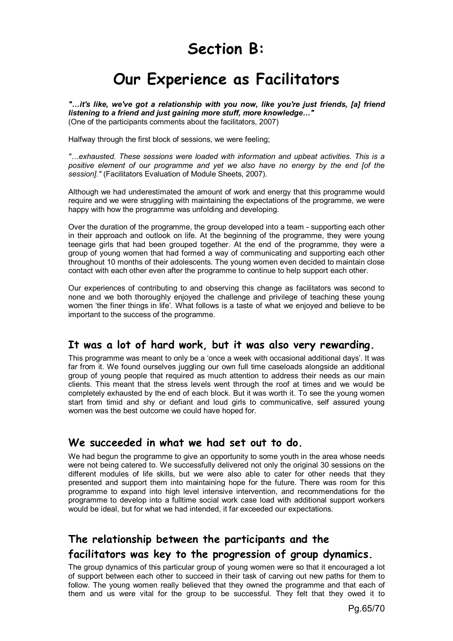# **Section B:**

# **Our Experience as Facilitators**

*"…it's like, we've got a relationship with you now, like you're just friends, [a] friend listening to a friend and just gaining more stuff, more knowledge…"*  (One of the participants comments about the facilitators, 2007)

Halfway through the first block of sessions, we were feeling;

*"…exhausted. These sessions were loaded with information and upbeat activities. This is a positive element of our programme and yet we also have no energy by the end [of the session]."* (Facilitators Evaluation of Module Sheets, 2007).

Although we had underestimated the amount of work and energy that this programme would require and we were struggling with maintaining the expectations of the programme, we were happy with how the programme was unfolding and developing.

Over the duration of the programme, the group developed into a team - supporting each other in their approach and outlook on life. At the beginning of the programme, they were young teenage girls that had been grouped together. At the end of the programme, they were a group of young women that had formed a way of communicating and supporting each other throughout 10 months of their adolescents. The young women even decided to maintain close contact with each other even after the programme to continue to help support each other.

Our experiences of contributing to and observing this change as facilitators was second to none and we both thoroughly enjoyed the challenge and privilege of teaching these young women 'the finer things in life'. What follows is a taste of what we enjoyed and believe to be important to the success of the programme.

# **It was a lot of hard work, but it was also very rewarding.**

This programme was meant to only be a 'once a week with occasional additional days'. It was far from it. We found ourselves juggling our own full time caseloads alongside an additional group of young people that required as much attention to address their needs as our main clients. This meant that the stress levels went through the roof at times and we would be completely exhausted by the end of each block. But it was worth it. To see the young women start from timid and shy or defiant and loud girls to communicative, self assured young women was the best outcome we could have hoped for.

# **We succeeded in what we had set out to do.**

We had begun the programme to give an opportunity to some youth in the area whose needs were not being catered to. We successfully delivered not only the original 30 sessions on the different modules of life skills, but we were also able to cater for other needs that they presented and support them into maintaining hope for the future. There was room for this programme to expand into high level intensive intervention, and recommendations for the programme to develop into a fulltime social work case load with additional support workers would be ideal, but for what we had intended, it far exceeded our expectations.

# **The relationship between the participants and the facilitators was key to the progression of group dynamics.**

The group dynamics of this particular group of young women were so that it encouraged a lot of support between each other to succeed in their task of carving out new paths for them to follow. The young women really believed that they owned the programme and that each of them and us were vital for the group to be successful. They felt that they owed it to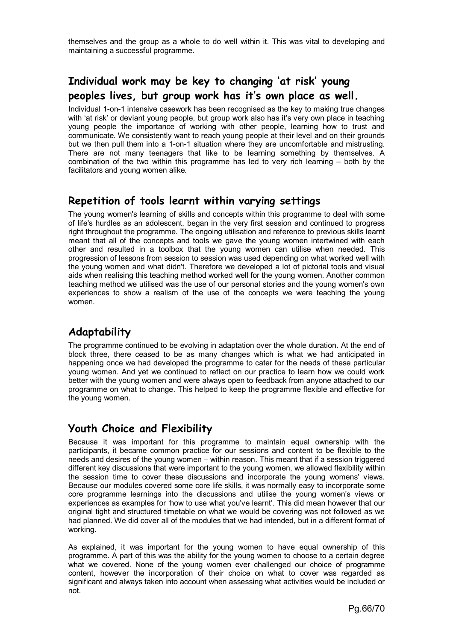themselves and the group as a whole to do well within it. This was vital to developing and maintaining a successful programme.

# **Individual work may be key to changing 'at risk' young peoples lives, but group work has it's own place as well.**

Individual 1-on-1 intensive casework has been recognised as the key to making true changes with 'at risk' or deviant young people, but group work also has it's very own place in teaching young people the importance of working with other people, learning how to trust and communicate. We consistently want to reach young people at their level and on their grounds but we then pull them into a 1-on-1 situation where they are uncomfortable and mistrusting. There are not many teenagers that like to be learning something by themselves. A combination of the two within this programme has led to very rich learning – both by the facilitators and young women alike.

# **Repetition of tools learnt within varying settings**

The young women's learning of skills and concepts within this programme to deal with some of life's hurdles as an adolescent, began in the very first session and continued to progress right throughout the programme. The ongoing utilisation and reference to previous skills learnt meant that all of the concepts and tools we gave the young women intertwined with each other and resulted in a toolbox that the young women can utilise when needed. This progression of lessons from session to session was used depending on what worked well with the young women and what didn't. Therefore we developed a lot of pictorial tools and visual aids when realising this teaching method worked well for the young women. Another common teaching method we utilised was the use of our personal stories and the young women's own experiences to show a realism of the use of the concepts we were teaching the young women.

# **Adaptability**

The programme continued to be evolving in adaptation over the whole duration. At the end of block three, there ceased to be as many changes which is what we had anticipated in happening once we had developed the programme to cater for the needs of these particular young women. And yet we continued to reflect on our practice to learn how we could work better with the young women and were always open to feedback from anyone attached to our programme on what to change. This helped to keep the programme flexible and effective for the young women.

# **Youth Choice and Flexibility**

Because it was important for this programme to maintain equal ownership with the participants, it became common practice for our sessions and content to be flexible to the needs and desires of the young women – within reason. This meant that if a session triggered different key discussions that were important to the young women, we allowed flexibility within the session time to cover these discussions and incorporate the young womens' views. Because our modules covered some core life skills, it was normally easy to incorporate some core programme learnings into the discussions and utilise the young women's views or experiences as examples for 'how to use what you've learnt'. This did mean however that our original tight and structured timetable on what we would be covering was not followed as we had planned. We did cover all of the modules that we had intended, but in a different format of working.

As explained, it was important for the young women to have equal ownership of this programme. A part of this was the ability for the young women to choose to a certain degree what we covered. None of the young women ever challenged our choice of programme content, however the incorporation of their choice on what to cover was regarded as significant and always taken into account when assessing what activities would be included or not.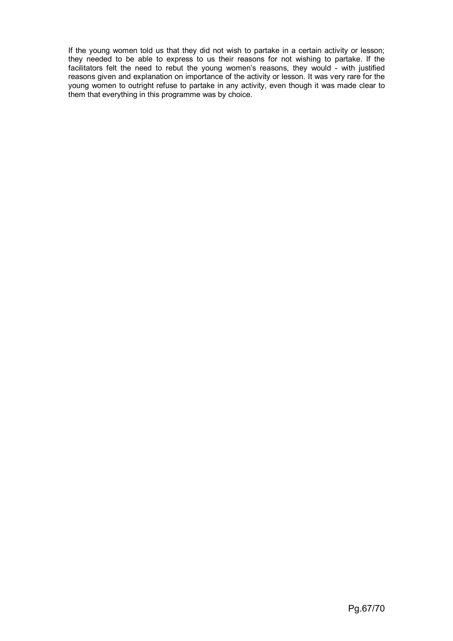If the young women told us that they did not wish to partake in a certain activity or lesson; they needed to be able to express to us their reasons for not wishing to partake. If the facilitators felt the need to rebut the young women's reasons, they would - with justified reasons given and explanation on importance of the activity or lesson. It was very rare for the young women to outright refuse to partake in any activity, even though it was made clear to them that everything in this programme was by choice.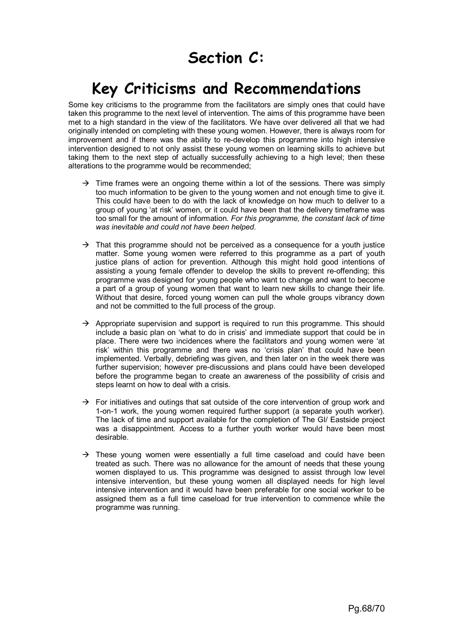# **Key Criticisms and Recommendations**

Some key criticisms to the programme from the facilitators are simply ones that could have taken this programme to the next level of intervention. The aims of this programme have been met to a high standard in the view of the facilitators. We have over delivered all that we had originally intended on completing with these young women. However, there is always room for improvement and if there was the ability to re-develop this programme into high intensive intervention designed to not only assist these young women on learning skills to achieve but taking them to the next step of actually successfully achieving to a high level; then these alterations to the programme would be recommended;

- $\rightarrow$  Time frames were an ongoing theme within a lot of the sessions. There was simply too much information to be given to the young women and not enough time to give it. This could have been to do with the lack of knowledge on how much to deliver to a group of young 'at risk' women, or it could have been that the delivery timeframe was too small for the amount of information. *For this programme, the constant lack of time was inevitable and could not have been helped.*
- $\rightarrow$  That this programme should not be perceived as a consequence for a youth justice matter. Some young women were referred to this programme as a part of youth justice plans of action for prevention. Although this might hold good intentions of assisting a young female offender to develop the skills to prevent re-offending; this programme was designed for young people who want to change and want to become a part of a group of young women that want to learn new skills to change their life. Without that desire, forced young women can pull the whole groups vibrancy down and not be committed to the full process of the group.
- $\rightarrow$  Appropriate supervision and support is required to run this programme. This should include a basic plan on 'what to do in crisis' and immediate support that could be in place. There were two incidences where the facilitators and young women were 'at risk' within this programme and there was no 'crisis plan' that could have been implemented. Verbally, debriefing was given, and then later on in the week there was further supervision; however pre-discussions and plans could have been developed before the programme began to create an awareness of the possibility of crisis and steps learnt on how to deal with a crisis.
- $\rightarrow$  For initiatives and outings that sat outside of the core intervention of group work and 1-on-1 work, the young women required further support (a separate youth worker). The lack of time and support available for the completion of The GI/ Eastside project was a disappointment. Access to a further youth worker would have been most desirable.
- $\rightarrow$  These young women were essentially a full time caseload and could have been treated as such. There was no allowance for the amount of needs that these young women displayed to us. This programme was designed to assist through low level intensive intervention, but these young women all displayed needs for high level intensive intervention and it would have been preferable for one social worker to be assigned them as a full time caseload for true intervention to commence while the programme was running.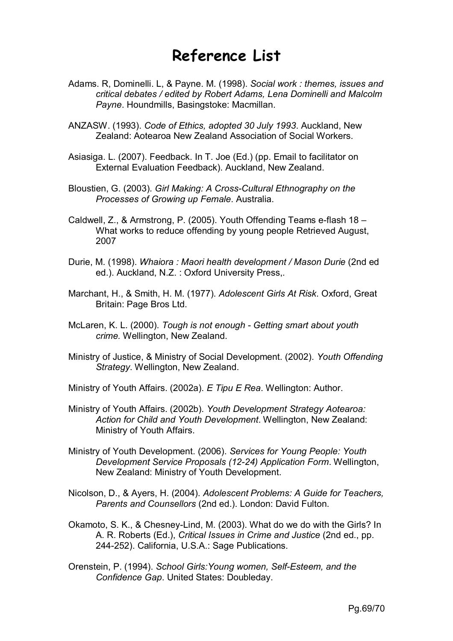# **Reference List**

- Adams. R, Dominelli. L, & Payne. M. (1998). *Social work : themes, issues and critical debates / edited by Robert Adams, Lena Dominelli and Malcolm Payne*. Houndmills, Basingstoke: Macmillan.
- ANZASW. (1993). *Code of Ethics, adopted 30 July 1993*. Auckland, New Zealand: Aotearoa New Zealand Association of Social Workers.
- Asiasiga. L. (2007). Feedback. In T. Joe (Ed.) (pp. Email to facilitator on External Evaluation Feedback). Auckland, New Zealand.
- Bloustien, G. (2003). *Girl Making: A Cross-Cultural Ethnography on the Processes of Growing up Female*. Australia.
- Caldwell, Z., & Armstrong, P. (2005). Youth Offending Teams e-flash 18 What works to reduce offending by young people Retrieved August, 2007
- Durie, M. (1998). *Whaiora : Maori health development / Mason Durie* (2nd ed ed.). Auckland, N.Z. : Oxford University Press,.
- Marchant, H., & Smith, H. M. (1977). *Adolescent Girls At Risk*. Oxford, Great Britain: Page Bros Ltd.
- McLaren, K. L. (2000). *Tough is not enough Getting smart about youth crime.* Wellington, New Zealand.
- Ministry of Justice, & Ministry of Social Development. (2002). *Youth Offending Strategy*. Wellington, New Zealand.

Ministry of Youth Affairs. (2002a). *E Tipu E Rea*. Wellington: Author.

- Ministry of Youth Affairs. (2002b). *Youth Development Strategy Aotearoa: Action for Child and Youth Development*. Wellington, New Zealand: Ministry of Youth Affairs.
- Ministry of Youth Development. (2006). *Services for Young People: Youth Development Service Proposals (12-24) Application Form*. Wellington, New Zealand: Ministry of Youth Development.
- Nicolson, D., & Ayers, H. (2004). *Adolescent Problems: A Guide for Teachers, Parents and Counsellors* (2nd ed.). London: David Fulton.
- Okamoto, S. K., & Chesney-Lind, M. (2003). What do we do with the Girls? In A. R. Roberts (Ed.), *Critical Issues in Crime and Justice* (2nd ed., pp. 244-252). California, U.S.A.: Sage Publications.
- Orenstein, P. (1994). *School Girls:Young women, Self-Esteem, and the Confidence Gap*. United States: Doubleday.